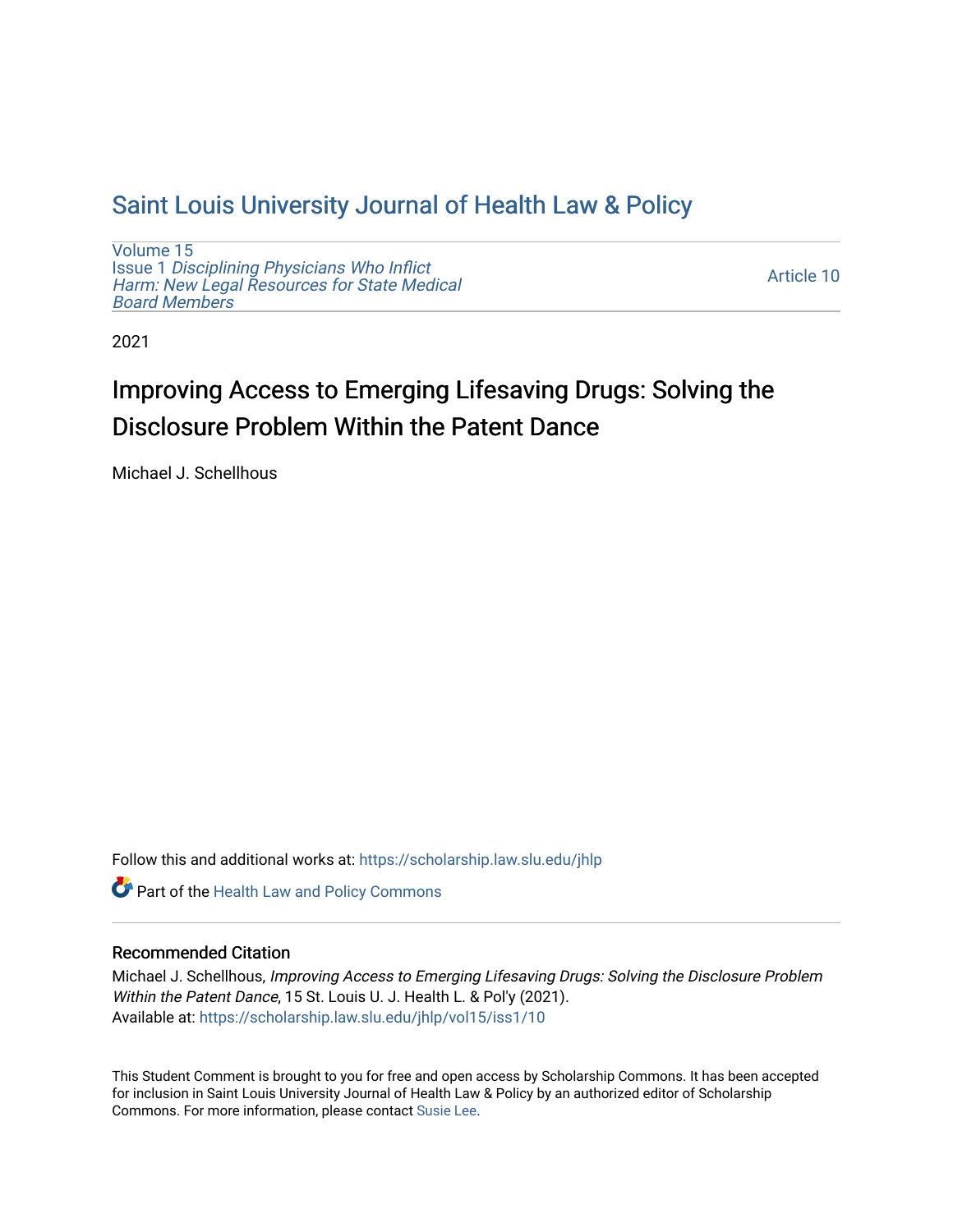## [Saint Louis University Journal of Health Law & Policy](https://scholarship.law.slu.edu/jhlp)

[Volume 15](https://scholarship.law.slu.edu/jhlp/vol15) Issue 1 [Disciplining Physicians Who Inflict](https://scholarship.law.slu.edu/jhlp/vol15/iss1)  [Harm: New Legal Resources for State Medical](https://scholarship.law.slu.edu/jhlp/vol15/iss1) [Board Members](https://scholarship.law.slu.edu/jhlp/vol15/iss1)

[Article 10](https://scholarship.law.slu.edu/jhlp/vol15/iss1/10) 

2021

# Improving Access to Emerging Lifesaving Drugs: Solving the Disclosure Problem Within the Patent Dance

Michael J. Schellhous

Follow this and additional works at: [https://scholarship.law.slu.edu/jhlp](https://scholarship.law.slu.edu/jhlp?utm_source=scholarship.law.slu.edu%2Fjhlp%2Fvol15%2Fiss1%2F10&utm_medium=PDF&utm_campaign=PDFCoverPages)

Part of the [Health Law and Policy Commons](http://network.bepress.com/hgg/discipline/901?utm_source=scholarship.law.slu.edu%2Fjhlp%2Fvol15%2Fiss1%2F10&utm_medium=PDF&utm_campaign=PDFCoverPages) 

## Recommended Citation

Michael J. Schellhous, Improving Access to Emerging Lifesaving Drugs: Solving the Disclosure Problem Within the Patent Dance, 15 St. Louis U. J. Health L. & Pol'y (2021). Available at: [https://scholarship.law.slu.edu/jhlp/vol15/iss1/10](https://scholarship.law.slu.edu/jhlp/vol15/iss1/10?utm_source=scholarship.law.slu.edu%2Fjhlp%2Fvol15%2Fiss1%2F10&utm_medium=PDF&utm_campaign=PDFCoverPages)

This Student Comment is brought to you for free and open access by Scholarship Commons. It has been accepted for inclusion in Saint Louis University Journal of Health Law & Policy by an authorized editor of Scholarship Commons. For more information, please contact [Susie Lee](mailto:susie.lee@slu.edu).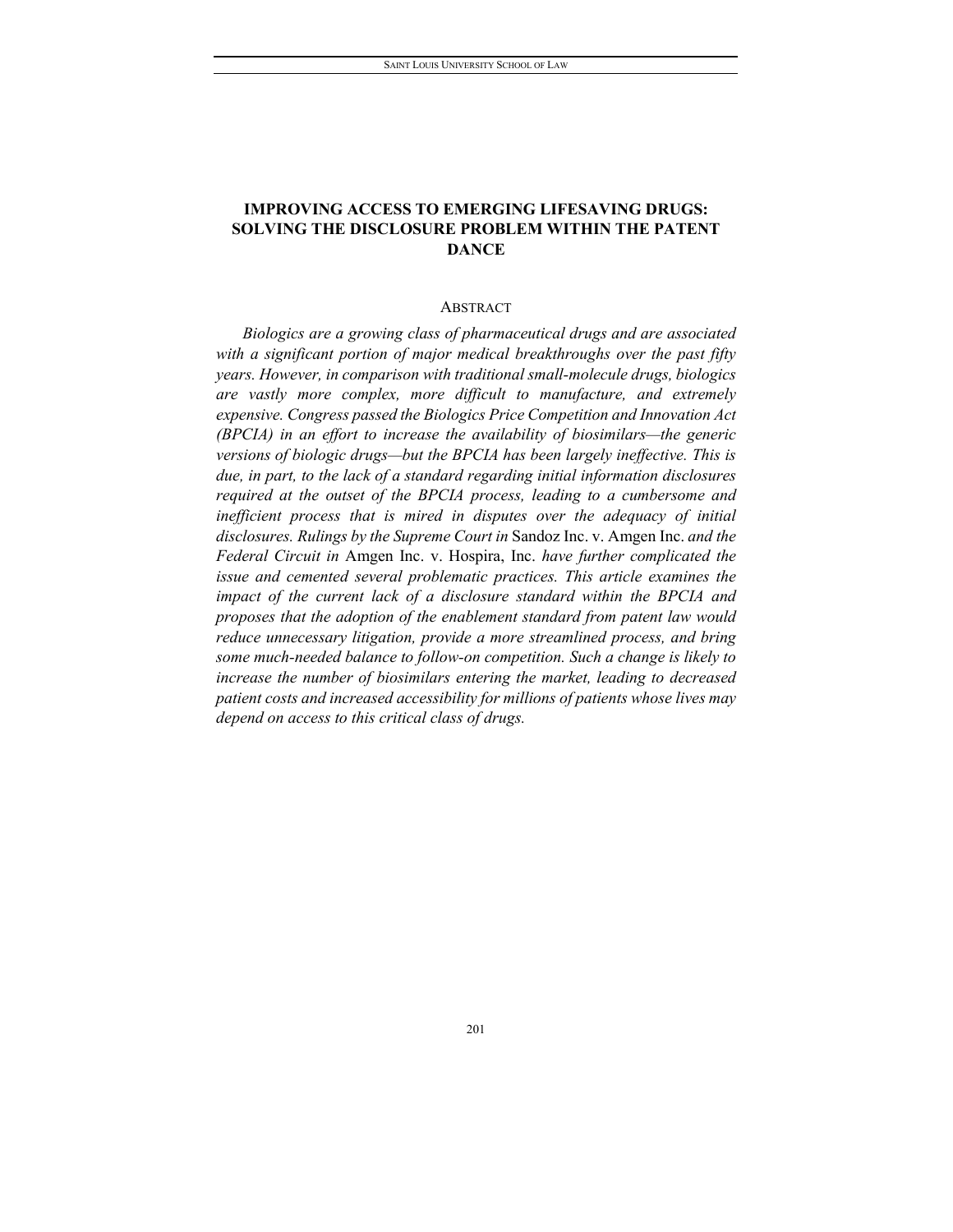### **IMPROVING ACCESS TO EMERGING LIFESAVING DRUGS: SOLVING THE DISCLOSURE PROBLEM WITHIN THE PATENT DANCE**

#### ABSTRACT

*Biologics are a growing class of pharmaceutical drugs and are associated with a significant portion of major medical breakthroughs over the past fifty years. However, in comparison with traditional small-molecule drugs, biologics are vastly more complex, more difficult to manufacture, and extremely expensive. Congress passed the Biologics Price Competition and Innovation Act (BPCIA) in an effort to increase the availability of biosimilars—the generic versions of biologic drugs—but the BPCIA has been largely ineffective. This is due, in part, to the lack of a standard regarding initial information disclosures required at the outset of the BPCIA process, leading to a cumbersome and inefficient process that is mired in disputes over the adequacy of initial disclosures. Rulings by the Supreme Court in* Sandoz Inc. v. Amgen Inc. *and the Federal Circuit in* Amgen Inc. v. Hospira, Inc. *have further complicated the issue and cemented several problematic practices. This article examines the impact of the current lack of a disclosure standard within the BPCIA and proposes that the adoption of the enablement standard from patent law would reduce unnecessary litigation, provide a more streamlined process, and bring some much-needed balance to follow-on competition. Such a change is likely to increase the number of biosimilars entering the market, leading to decreased patient costs and increased accessibility for millions of patients whose lives may depend on access to this critical class of drugs.*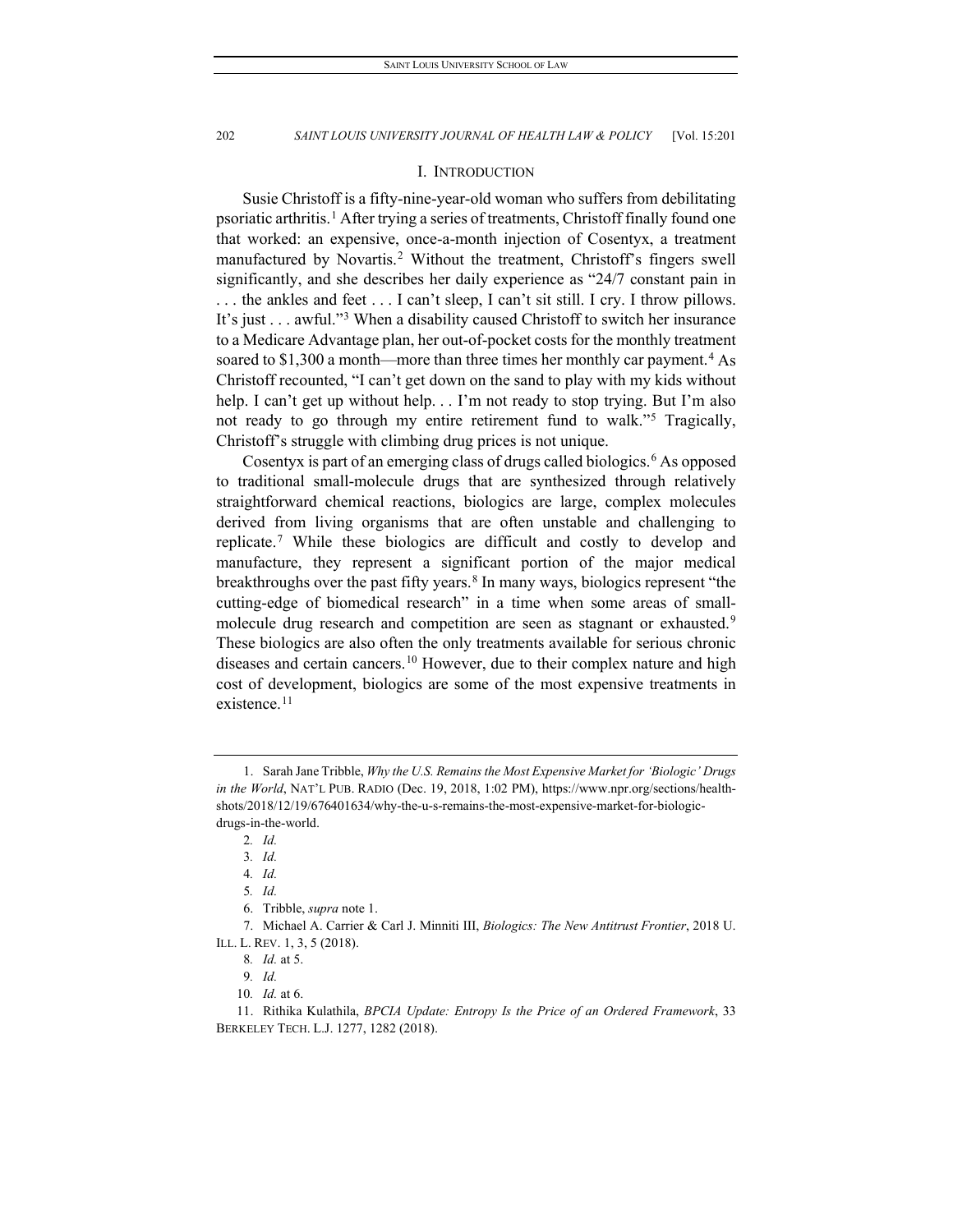#### I. INTRODUCTION

Susie Christoff is a fifty-nine-year-old woman who suffers from debilitating psoriatic arthritis.<sup>[1](#page-2-0)</sup> After trying a series of treatments, Christoff finally found one that worked: an expensive, once-a-month injection of Cosentyx, a treatment manufactured by Novartis. [2](#page-2-1) Without the treatment, Christoff's fingers swell significantly, and she describes her daily experience as "24/7 constant pain in . . . the ankles and feet . . . I can't sleep, I can't sit still. I cry. I throw pillows. It's just . . . awful."[3](#page-2-2) When a disability caused Christoff to switch her insurance to a Medicare Advantage plan, her out-of-pocket costs for the monthly treatment soared to  $$1,300$  a month—more than three times her monthly car payment.<sup>[4](#page-2-3)</sup> As Christoff recounted, "I can't get down on the sand to play with my kids without help. I can't get up without help. . . I'm not ready to stop trying. But I'm also not ready to go through my entire retirement fund to walk."[5](#page-2-4) Tragically, Christoff's struggle with climbing drug prices is not unique.

Cosentyx is part of an emerging class of drugs called biologics.<sup>[6](#page-2-5)</sup> As opposed to traditional small-molecule drugs that are synthesized through relatively straightforward chemical reactions, biologics are large, complex molecules derived from living organisms that are often unstable and challenging to replicate.[7](#page-2-6) While these biologics are difficult and costly to develop and manufacture, they represent a significant portion of the major medical breakthroughs over the past fifty years.<sup>8</sup> In many ways, biologics represent "the cutting-edge of biomedical research" in a time when some areas of small-molecule drug research and competition are seen as stagnant or exhausted.<sup>[9](#page-2-8)</sup> These biologics are also often the only treatments available for serious chronic diseases and certain cancers.<sup>[10](#page-2-9)</sup> However, due to their complex nature and high cost of development, biologics are some of the most expensive treatments in existence.<sup>[11](#page-2-10)</sup>

<span id="page-2-1"></span><span id="page-2-0"></span><sup>1.</sup> Sarah Jane Tribble, *Why the U.S. Remains the Most Expensive Market for 'Biologic' Drugs in the World*, NAT'L PUB. RADIO (Dec. 19, 2018, 1:02 PM), https://www.npr.org/sections/healthshots/2018/12/19/676401634/why-the-u-s-remains-the-most-expensive-market-for-biologicdrugs-in-the-world.

<sup>2</sup>*. Id.*

<sup>3</sup>*. Id.*

<sup>4</sup>*. Id.*

<sup>5</sup>*. Id.*

<sup>6.</sup> Tribble, *supra* note 1.

<span id="page-2-7"></span><span id="page-2-6"></span><span id="page-2-5"></span><span id="page-2-4"></span><span id="page-2-3"></span><span id="page-2-2"></span><sup>7.</sup> Michael A. Carrier & Carl J. Minniti III, *Biologics: The New Antitrust Frontier*, 2018 U. ILL. L. REV. 1, 3, 5 (2018).

<sup>8</sup>*. Id.* at 5.

<sup>9</sup>*. Id.*

<sup>10</sup>*. Id.* at 6.

<span id="page-2-10"></span><span id="page-2-9"></span><span id="page-2-8"></span><sup>11.</sup> Rithika Kulathila, *BPCIA Update: Entropy Is the Price of an Ordered Framework*, 33 BERKELEY TECH. L.J. 1277, 1282 (2018).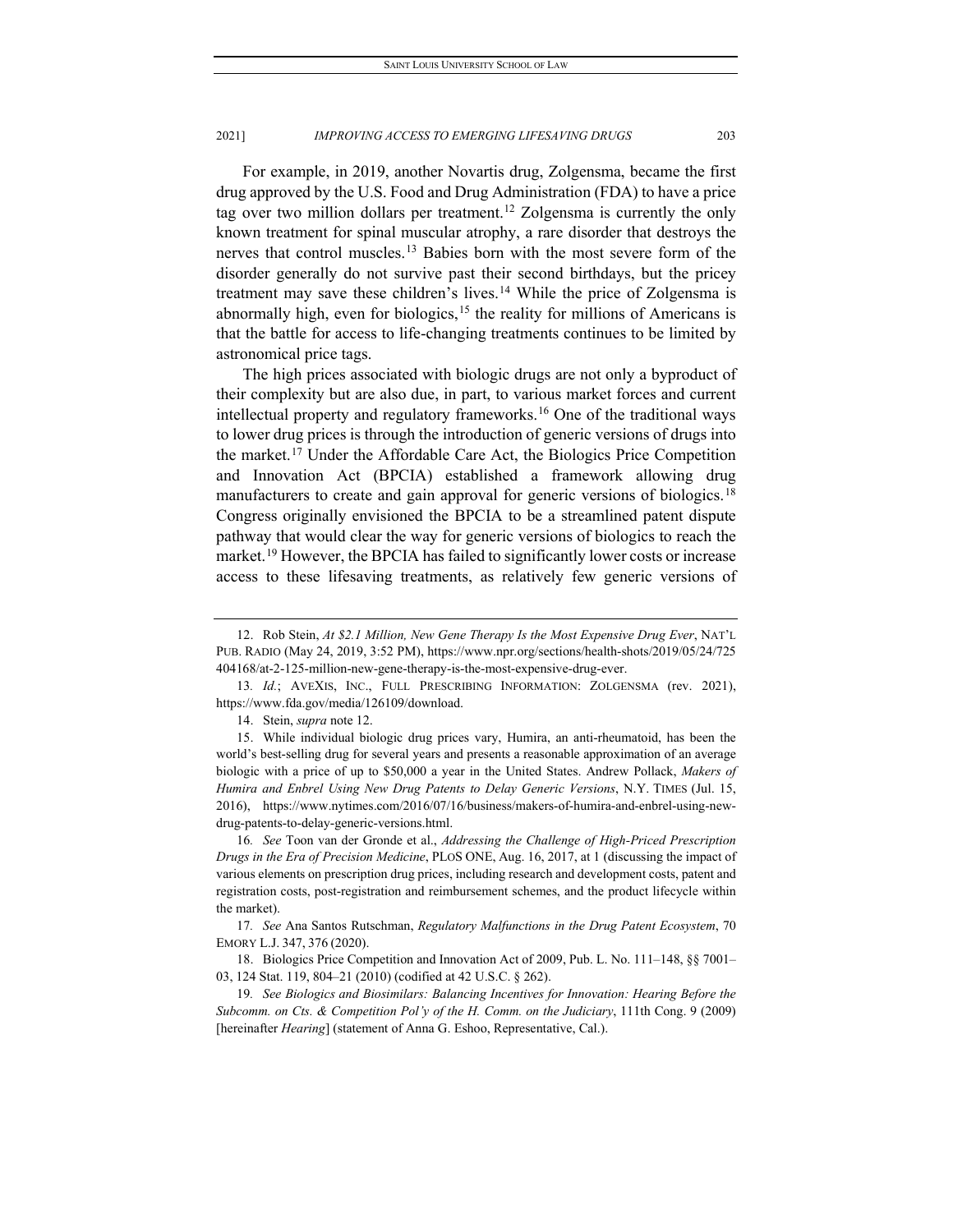For example, in 2019, another Novartis drug, Zolgensma, became the first drug approved by the U.S. Food and Drug Administration (FDA) to have a price tag over two million dollars per treatment.<sup>[12](#page-3-0)</sup> Zolgensma is currently the only known treatment for spinal muscular atrophy, a rare disorder that destroys the nerves that control muscles.<sup>[13](#page-3-1)</sup> Babies born with the most severe form of the disorder generally do not survive past their second birthdays, but the pricey treatment may save these children's lives.[14](#page-3-2) While the price of Zolgensma is abnormally high, even for biologics,  $15$  the reality for millions of Americans is that the battle for access to life-changing treatments continues to be limited by astronomical price tags.

The high prices associated with biologic drugs are not only a byproduct of their complexity but are also due, in part, to various market forces and current intellectual property and regulatory frameworks.[16](#page-3-4) One of the traditional ways to lower drug prices is through the introduction of generic versions of drugs into the market.[17](#page-3-5) Under the Affordable Care Act, the Biologics Price Competition and Innovation Act (BPCIA) established a framework allowing drug manufacturers to create and gain approval for generic versions of biologics.<sup>[18](#page-3-6)</sup> Congress originally envisioned the BPCIA to be a streamlined patent dispute pathway that would clear the way for generic versions of biologics to reach the market.<sup>[19](#page-3-7)</sup> However, the BPCIA has failed to significantly lower costs or increase access to these lifesaving treatments, as relatively few generic versions of

<span id="page-3-4"></span>16*. See* Toon van der Gronde et al., *Addressing the Challenge of High-Priced Prescription Drugs in the Era of Precision Medicine*, PLOS ONE, Aug. 16, 2017, at 1 (discussing the impact of various elements on prescription drug prices, including research and development costs, patent and registration costs, post-registration and reimbursement schemes, and the product lifecycle within the market).

<span id="page-3-5"></span>17*. See* Ana Santos Rutschman, *Regulatory Malfunctions in the Drug Patent Ecosystem*, 70 EMORY L.J. 347, 376 (2020).

<span id="page-3-7"></span>19*. See Biologics and Biosimilars: Balancing Incentives for Innovation: Hearing Before the Subcomm. on Cts. & Competition Pol'y of the H. Comm. on the Judiciary*, 111th Cong. 9 (2009) [hereinafter *Hearing*] (statement of Anna G. Eshoo, Representative, Cal.).

<span id="page-3-0"></span><sup>12.</sup> Rob Stein, *At \$2.1 Million, New Gene Therapy Is the Most Expensive Drug Ever*, NAT'L PUB. RADIO (May 24, 2019, 3:52 PM), https://www.npr.org/sections/health-shots/2019/05/24/725 404168/at-2-125-million-new-gene-therapy-is-the-most-expensive-drug-ever.

<span id="page-3-1"></span><sup>13</sup>*. Id.*; AVEXIS, INC., FULL PRESCRIBING INFORMATION: ZOLGENSMA (rev. 2021), https://www.fda.gov/media/126109/download.

<sup>14.</sup> Stein, *supra* note 12.

<span id="page-3-3"></span><span id="page-3-2"></span><sup>15.</sup> While individual biologic drug prices vary, Humira, an anti-rheumatoid, has been the world's best-selling drug for several years and presents a reasonable approximation of an average biologic with a price of up to \$50,000 a year in the United States. Andrew Pollack, *Makers of Humira and Enbrel Using New Drug Patents to Delay Generic Versions*, N.Y. TIMES (Jul. 15, 2016), https://www.nytimes.com/2016/07/16/business/makers-of-humira-and-enbrel-using-newdrug-patents-to-delay-generic-versions.html.

<span id="page-3-6"></span><sup>18.</sup> Biologics Price Competition and Innovation Act of 2009, Pub. L. No. 111–148, §§ 7001– 03, 124 Stat. 119, 804–21 (2010) (codified at 42 U.S.C. § 262).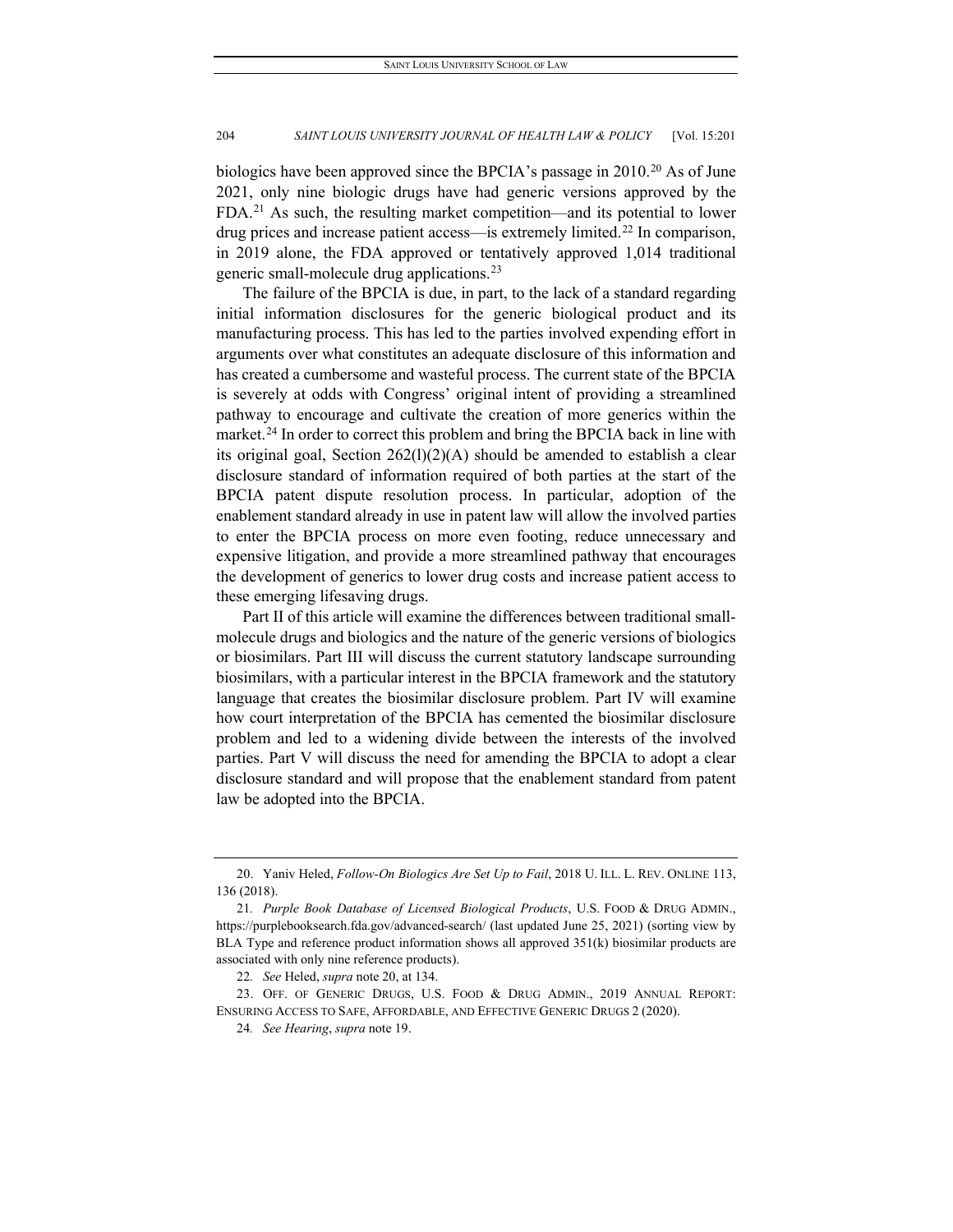biologics have been approved since the BPCIA's passage in [20](#page-4-0)10.<sup>20</sup> As of June 2021, only nine biologic drugs have had generic versions approved by the FDA.[21](#page-4-1) As such, the resulting market competition—and its potential to lower drug prices and increase patient access—is extremely limited.[22](#page-4-2) In comparison, in 2019 alone, the FDA approved or tentatively approved 1,014 traditional generic small-molecule drug applications.[23](#page-4-3)

The failure of the BPCIA is due, in part, to the lack of a standard regarding initial information disclosures for the generic biological product and its manufacturing process. This has led to the parties involved expending effort in arguments over what constitutes an adequate disclosure of this information and has created a cumbersome and wasteful process. The current state of the BPCIA is severely at odds with Congress' original intent of providing a streamlined pathway to encourage and cultivate the creation of more generics within the market.<sup>[24](#page-4-4)</sup> In order to correct this problem and bring the BPCIA back in line with its original goal, Section  $262(1)(2)(A)$  should be amended to establish a clear disclosure standard of information required of both parties at the start of the BPCIA patent dispute resolution process. In particular, adoption of the enablement standard already in use in patent law will allow the involved parties to enter the BPCIA process on more even footing, reduce unnecessary and expensive litigation, and provide a more streamlined pathway that encourages the development of generics to lower drug costs and increase patient access to these emerging lifesaving drugs.

Part II of this article will examine the differences between traditional smallmolecule drugs and biologics and the nature of the generic versions of biologics or biosimilars. Part III will discuss the current statutory landscape surrounding biosimilars, with a particular interest in the BPCIA framework and the statutory language that creates the biosimilar disclosure problem. Part IV will examine how court interpretation of the BPCIA has cemented the biosimilar disclosure problem and led to a widening divide between the interests of the involved parties. Part V will discuss the need for amending the BPCIA to adopt a clear disclosure standard and will propose that the enablement standard from patent law be adopted into the BPCIA.

<span id="page-4-0"></span><sup>20.</sup> Yaniv Heled, *Follow-On Biologics Are Set Up to Fail*, 2018 U. ILL. L. REV. ONLINE 113, 136 (2018).

<span id="page-4-1"></span><sup>21</sup>*. Purple Book Database of Licensed Biological Products*, U.S. FOOD & DRUG ADMIN., https://purplebooksearch.fda.gov/advanced-search/ (last updated June 25, 2021) (sorting view by BLA Type and reference product information shows all approved  $351(k)$  biosimilar products are associated with only nine reference products).

<sup>22</sup>*. See* Heled, *supra* note 20, at 134.

<span id="page-4-4"></span><span id="page-4-3"></span><span id="page-4-2"></span><sup>23.</sup> OFF. OF GENERIC DRUGS, U.S. FOOD & DRUG ADMIN., 2019 ANNUAL REPORT: ENSURING ACCESS TO SAFE, AFFORDABLE, AND EFFECTIVE GENERIC DRUGS 2 (2020).

<sup>24</sup>*. See Hearing*, *supra* note 19.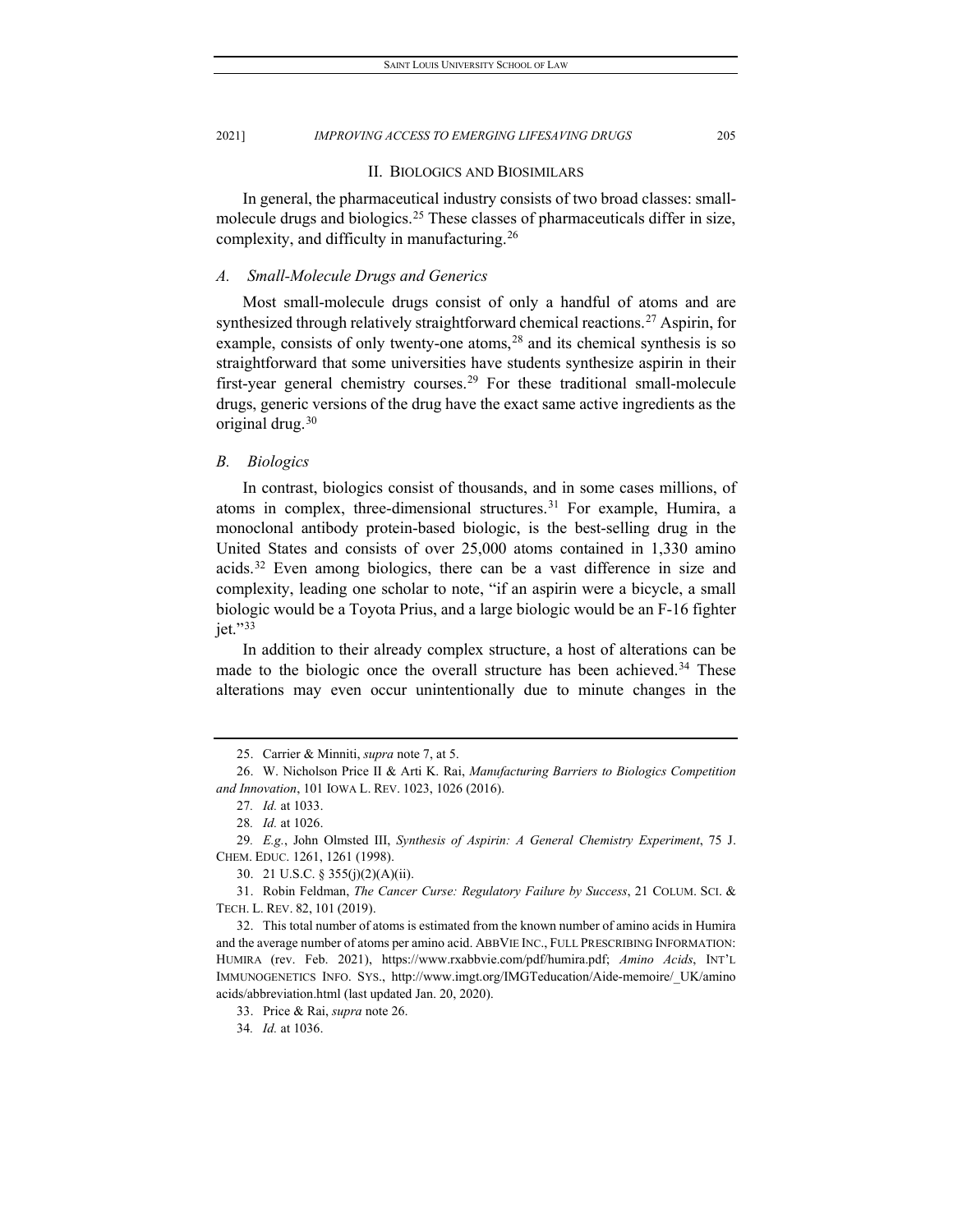#### II. BIOLOGICS AND BIOSIMILARS

In general, the pharmaceutical industry consists of two broad classes: small-molecule drugs and biologics.<sup>[25](#page-5-0)</sup> These classes of pharmaceuticals differ in size, complexity, and difficulty in manufacturing.[26](#page-5-1)

#### *A. Small-Molecule Drugs and Generics*

Most small-molecule drugs consist of only a handful of atoms and are synthesized through relatively straightforward chemical reactions.<sup>[27](#page-5-2)</sup> Aspirin, for example, consists of only twenty-one atoms, $28$  and its chemical synthesis is so straightforward that some universities have students synthesize aspirin in their first-year general chemistry courses.<sup>29</sup> For these traditional small-molecule drugs, generic versions of the drug have the exact same active ingredients as the original drug.[30](#page-5-5)

#### *B. Biologics*

In contrast, biologics consist of thousands, and in some cases millions, of atoms in complex, three-dimensional structures.<sup>[31](#page-5-6)</sup> For example, Humira, a monoclonal antibody protein-based biologic, is the best-selling drug in the United States and consists of over 25,000 atoms contained in 1,330 amino acids.[32](#page-5-7) Even among biologics, there can be a vast difference in size and complexity, leading one scholar to note, "if an aspirin were a bicycle, a small biologic would be a Toyota Prius, and a large biologic would be an F-16 fighter jet."[33](#page-5-8)

In addition to their already complex structure, a host of alterations can be made to the biologic once the overall structure has been achieved.<sup>[34](#page-5-9)</sup> These alterations may even occur unintentionally due to minute changes in the

<sup>25.</sup> Carrier & Minniti, *supra* note 7, at 5.

<span id="page-5-2"></span><span id="page-5-1"></span><span id="page-5-0"></span><sup>26.</sup> W. Nicholson Price II & Arti K. Rai, *Manufacturing Barriers to Biologics Competition and Innovation*, 101 IOWA L. REV. 1023, 1026 (2016).

<sup>27</sup>*. Id.* at 1033.

<sup>28</sup>*. Id.* at 1026.

<span id="page-5-4"></span><span id="page-5-3"></span><sup>29</sup>*. E.g.*, John Olmsted III, *Synthesis of Aspirin: A General Chemistry Experiment*, 75 J. CHEM. EDUC. 1261, 1261 (1998).

<sup>30.</sup> 21 U.S.C. § 355(j)(2)(A)(ii).

<span id="page-5-6"></span><span id="page-5-5"></span><sup>31.</sup> Robin Feldman, *The Cancer Curse: Regulatory Failure by Success*, 21 COLUM. SCI. & TECH. L. REV. 82, 101 (2019).

<span id="page-5-8"></span><span id="page-5-7"></span><sup>32.</sup> This total number of atoms is estimated from the known number of amino acids in Humira and the average number of atoms per amino acid. ABBVIE INC., FULL PRESCRIBING INFORMATION: HUMIRA (rev. Feb. 2021), https://www.rxabbvie.com/pdf/humira.pdf; *Amino Acids*, INT'L IMMUNOGENETICS INFO. SYS., http://www.imgt.org/IMGTeducation/Aide-memoire/\_UK/amino acids/abbreviation.html (last updated Jan. 20, 2020).

<sup>33.</sup> Price & Rai, *supra* note 26.

<span id="page-5-9"></span><sup>34</sup>*. Id.* at 1036.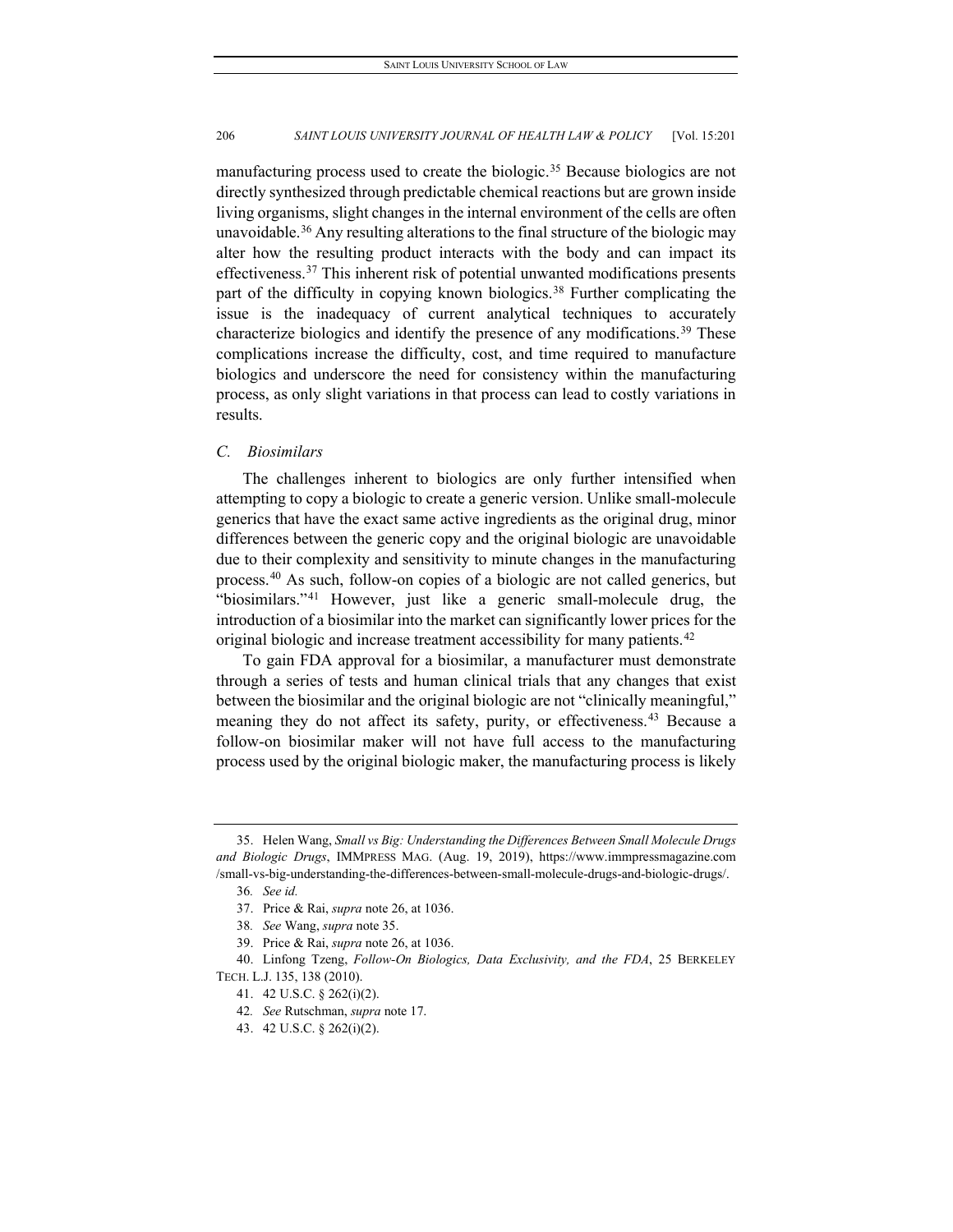manufacturing process used to create the biologic.<sup>[35](#page-6-0)</sup> Because biologics are not directly synthesized through predictable chemical reactions but are grown inside living organisms, slight changes in the internal environment of the cells are often unavoidable.<sup>36</sup> Any resulting alterations to the final structure of the biologic may alter how the resulting product interacts with the body and can impact its effectiveness.<sup>[37](#page-6-2)</sup> This inherent risk of potential unwanted modifications presents part of the difficulty in copying known biologics.<sup>[38](#page-6-3)</sup> Further complicating the issue is the inadequacy of current analytical techniques to accurately characterize biologics and identify the presence of any modifications.<sup>[39](#page-6-4)</sup> These complications increase the difficulty, cost, and time required to manufacture biologics and underscore the need for consistency within the manufacturing process, as only slight variations in that process can lead to costly variations in results.

#### *C. Biosimilars*

The challenges inherent to biologics are only further intensified when attempting to copy a biologic to create a generic version. Unlike small-molecule generics that have the exact same active ingredients as the original drug, minor differences between the generic copy and the original biologic are unavoidable due to their complexity and sensitivity to minute changes in the manufacturing process.[40](#page-6-5) As such, follow-on copies of a biologic are not called generics, but "biosimilars."[41](#page-6-6) However, just like a generic small-molecule drug, the introduction of a biosimilar into the market can significantly lower prices for the original biologic and increase treatment accessibility for many patients.<sup>[42](#page-6-7)</sup>

To gain FDA approval for a biosimilar, a manufacturer must demonstrate through a series of tests and human clinical trials that any changes that exist between the biosimilar and the original biologic are not "clinically meaningful," meaning they do not affect its safety, purity, or effectiveness.<sup>[43](#page-6-8)</sup> Because a follow-on biosimilar maker will not have full access to the manufacturing process used by the original biologic maker, the manufacturing process is likely

<span id="page-6-1"></span><span id="page-6-0"></span><sup>35.</sup> Helen Wang, *Small vs Big: Understanding the Differences Between Small Molecule Drugs and Biologic Drugs*, IMMPRESS MAG. (Aug. 19, 2019), https://www.immpressmagazine.com /small-vs-big-understanding-the-differences-between-small-molecule-drugs-and-biologic-drugs/.

<sup>36</sup>*. See id.*

<sup>37.</sup> Price & Rai, *supra* note 26, at 1036.

<sup>38</sup>*. See* Wang, *supra* note 35.

<sup>39.</sup> Price & Rai, *supra* note 26, at 1036.

<span id="page-6-8"></span><span id="page-6-7"></span><span id="page-6-6"></span><span id="page-6-5"></span><span id="page-6-4"></span><span id="page-6-3"></span><span id="page-6-2"></span><sup>40.</sup> Linfong Tzeng, *Follow-On Biologics, Data Exclusivity, and the FDA*, 25 BERKELEY TECH. L.J. 135, 138 (2010).

<sup>41.</sup> 42 U.S.C. § 262(i)(2).

<sup>42</sup>*. See* Rutschman, *supra* note 17.

<sup>43.</sup> 42 U.S.C. § 262(i)(2).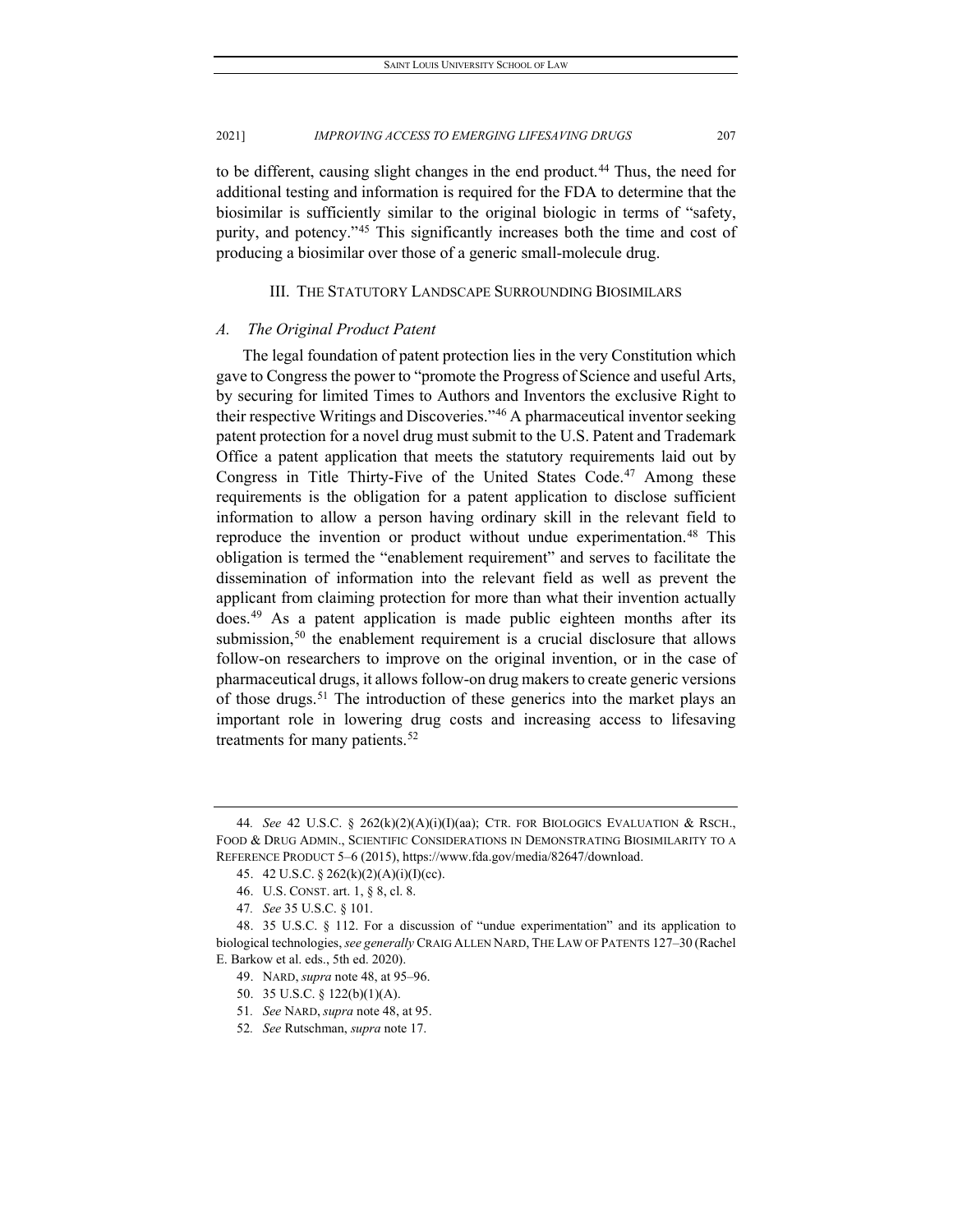to be different, causing slight changes in the end product.<sup>[44](#page-7-0)</sup> Thus, the need for additional testing and information is required for the FDA to determine that the biosimilar is sufficiently similar to the original biologic in terms of "safety, purity, and potency."[45](#page-7-1) This significantly increases both the time and cost of producing a biosimilar over those of a generic small-molecule drug.

#### III. THE STATUTORY LANDSCAPE SURROUNDING BIOSIMILARS

#### *A. The Original Product Patent*

The legal foundation of patent protection lies in the very Constitution which gave to Congress the power to "promote the Progress of Science and useful Arts, by securing for limited Times to Authors and Inventors the exclusive Right to their respective Writings and Discoveries."[46](#page-7-2) A pharmaceutical inventor seeking patent protection for a novel drug must submit to the U.S. Patent and Trademark Office a patent application that meets the statutory requirements laid out by Congress in Title Thirty-Five of the United States Code.<sup>[47](#page-7-3)</sup> Among these requirements is the obligation for a patent application to disclose sufficient information to allow a person having ordinary skill in the relevant field to reproduce the invention or product without undue experimentation.<sup>[48](#page-7-4)</sup> This obligation is termed the "enablement requirement" and serves to facilitate the dissemination of information into the relevant field as well as prevent the applicant from claiming protection for more than what their invention actually does.[49](#page-7-5) As a patent application is made public eighteen months after its submission,<sup>[50](#page-7-6)</sup> the enablement requirement is a crucial disclosure that allows follow-on researchers to improve on the original invention, or in the case of pharmaceutical drugs, it allows follow-on drug makers to create generic versions of those drugs.<sup>[51](#page-7-7)</sup> The introduction of these generics into the market plays an important role in lowering drug costs and increasing access to lifesaving treatments for many patients.<sup>[52](#page-7-8)</sup>

<span id="page-7-0"></span><sup>44</sup>*. See* 42 U.S.C. § 262(k)(2)(A)(i)(I)(aa); CTR. FOR BIOLOGICS EVALUATION & RSCH., FOOD & DRUG ADMIN., SCIENTIFIC CONSIDERATIONS IN DEMONSTRATING BIOSIMILARITY TO A REFERENCE PRODUCT 5–6 (2015), https://www.fda.gov/media/82647/download.

<sup>45.</sup> 42 U.S.C. § 262(k)(2)(A)(i)(I)(cc).

<sup>46.</sup> U.S. CONST. art. 1, § 8, cl. 8.

<sup>47</sup>*. See* 35 U.S.C. § 101.

<span id="page-7-7"></span><span id="page-7-6"></span><span id="page-7-5"></span><span id="page-7-4"></span><span id="page-7-3"></span><span id="page-7-2"></span><span id="page-7-1"></span><sup>48.</sup> 35 U.S.C. § 112. For a discussion of "undue experimentation" and its application to biological technologies, *see generally* CRAIG ALLEN NARD, THE LAW OF PATENTS 127–30 (Rachel E. Barkow et al. eds., 5th ed. 2020).

<sup>49.</sup> NARD, *supra* note 48, at 95–96.

<sup>50.</sup> 35 U.S.C. § 122(b)(1)(A).

<sup>51</sup>*. See* NARD, *supra* note 48, at 95.

<span id="page-7-8"></span><sup>52</sup>*. See* Rutschman, *supra* note 17.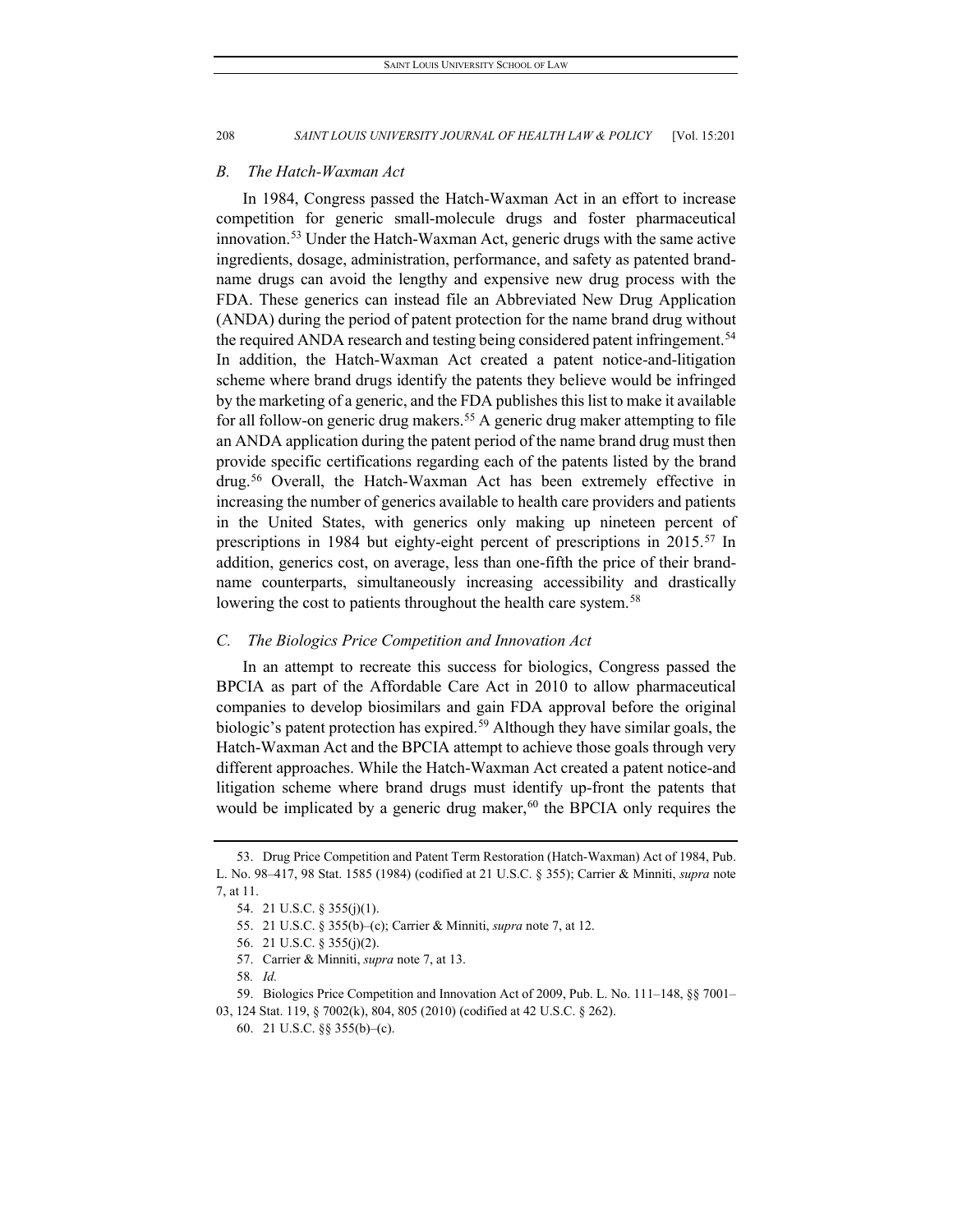#### *B. The Hatch-Waxman Act*

In 1984, Congress passed the Hatch-Waxman Act in an effort to increase competition for generic small-molecule drugs and foster pharmaceutical innovation.[53](#page-8-0) Under the Hatch-Waxman Act, generic drugs with the same active ingredients, dosage, administration, performance, and safety as patented brandname drugs can avoid the lengthy and expensive new drug process with the FDA. These generics can instead file an Abbreviated New Drug Application (ANDA) during the period of patent protection for the name brand drug without the required ANDA research and testing being considered patent infringement.<sup>[54](#page-8-1)</sup> In addition, the Hatch-Waxman Act created a patent notice-and-litigation scheme where brand drugs identify the patents they believe would be infringed by the marketing of a generic, and the FDA publishes this list to make it available for all follow-on generic drug makers.<sup>55</sup> A generic drug maker attempting to file an ANDA application during the patent period of the name brand drug must then provide specific certifications regarding each of the patents listed by the brand drug.[56](#page-8-3) Overall, the Hatch-Waxman Act has been extremely effective in increasing the number of generics available to health care providers and patients in the United States, with generics only making up nineteen percent of prescriptions in 1984 but eighty-eight percent of prescriptions in 2015.<sup>[57](#page-8-4)</sup> In addition, generics cost, on average, less than one-fifth the price of their brandname counterparts, simultaneously increasing accessibility and drastically lowering the cost to patients throughout the health care system.<sup>[58](#page-8-5)</sup>

#### *C. The Biologics Price Competition and Innovation Act*

In an attempt to recreate this success for biologics, Congress passed the BPCIA as part of the Affordable Care Act in 2010 to allow pharmaceutical companies to develop biosimilars and gain FDA approval before the original biologic's patent protection has expired.<sup>[59](#page-8-6)</sup> Although they have similar goals, the Hatch-Waxman Act and the BPCIA attempt to achieve those goals through very different approaches. While the Hatch-Waxman Act created a patent notice-and litigation scheme where brand drugs must identify up-front the patents that would be implicated by a generic drug maker,  $60$  the BPCIA only requires the

<span id="page-8-2"></span><span id="page-8-1"></span><span id="page-8-0"></span><sup>53.</sup> Drug Price Competition and Patent Term Restoration (Hatch-Waxman) Act of 1984, Pub. L. No. 98–417, 98 Stat. 1585 (1984) (codified at 21 U.S.C. § 355); Carrier & Minniti, *supra* note 7, at 11.

<sup>54.</sup> 21 U.S.C. § 355(j)(1).

<sup>55.</sup> 21 U.S.C. § 355(b)–(c); Carrier & Minniti, *supra* note 7, at 12.

<sup>56.</sup> 21 U.S.C. § 355(j)(2).

<sup>57.</sup> Carrier & Minniti, *supra* note 7, at 13.

<sup>58</sup>*. Id.*

<sup>59.</sup> Biologics Price Competition and Innovation Act of 2009, Pub. L. No. 111–148, §§ 7001–

<span id="page-8-7"></span><span id="page-8-6"></span><span id="page-8-5"></span><span id="page-8-4"></span><span id="page-8-3"></span><sup>03, 124</sup> Stat. 119, § 7002(k), 804, 805 (2010) (codified at 42 U.S.C. § 262).

<sup>60.</sup> 21 U.S.C. §§ 355(b)–(c).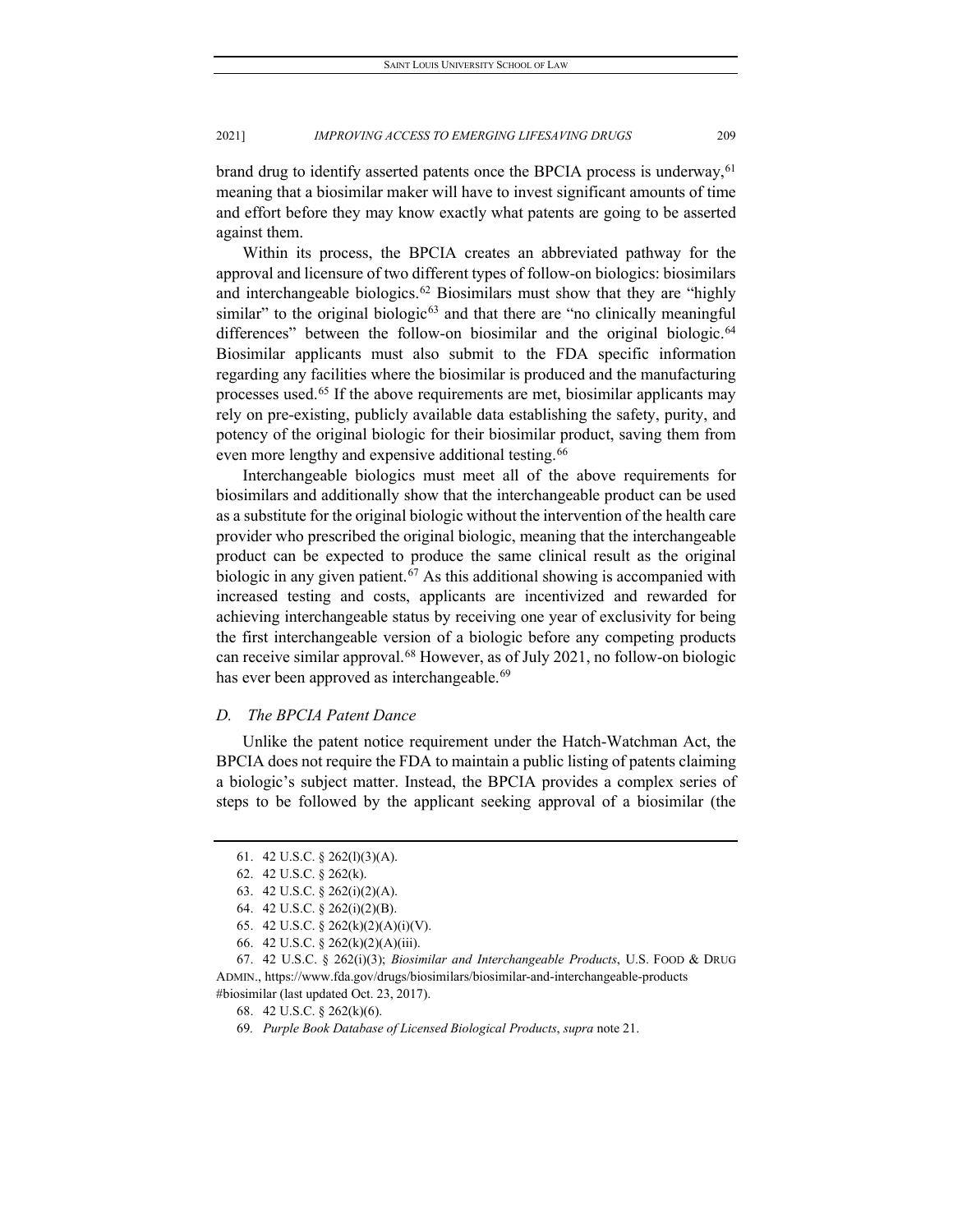brand drug to identify asserted patents once the BPCIA process is underway,  $61$ meaning that a biosimilar maker will have to invest significant amounts of time and effort before they may know exactly what patents are going to be asserted against them.

Within its process, the BPCIA creates an abbreviated pathway for the approval and licensure of two different types of follow-on biologics: biosimilars and interchangeable biologics.<sup>[62](#page-9-1)</sup> Biosimilars must show that they are "highly similar" to the original biologic<sup>[63](#page-9-2)</sup> and that there are "no clinically meaningful differences" between the follow-on biosimilar and the original biologic.<sup>[64](#page-9-3)</sup> Biosimilar applicants must also submit to the FDA specific information regarding any facilities where the biosimilar is produced and the manufacturing processes used.[65](#page-9-4) If the above requirements are met, biosimilar applicants may rely on pre-existing, publicly available data establishing the safety, purity, and potency of the original biologic for their biosimilar product, saving them from even more lengthy and expensive additional testing.<sup>[66](#page-9-5)</sup>

Interchangeable biologics must meet all of the above requirements for biosimilars and additionally show that the interchangeable product can be used as a substitute for the original biologic without the intervention of the health care provider who prescribed the original biologic, meaning that the interchangeable product can be expected to produce the same clinical result as the original biologic in any given patient.<sup>[67](#page-9-6)</sup> As this additional showing is accompanied with increased testing and costs, applicants are incentivized and rewarded for achieving interchangeable status by receiving one year of exclusivity for being the first interchangeable version of a biologic before any competing products can receive similar approval.<sup>[68](#page-9-7)</sup> However, as of July 2021, no follow-on biologic has ever been approved as interchangeable.<sup>[69](#page-9-8)</sup>

#### *D. The BPCIA Patent Dance*

Unlike the patent notice requirement under the Hatch-Watchman Act, the BPCIA does not require the FDA to maintain a public listing of patents claiming a biologic's subject matter. Instead, the BPCIA provides a complex series of steps to be followed by the applicant seeking approval of a biosimilar (the

<span id="page-9-0"></span><sup>61.</sup> 42 U.S.C. § 262(l)(3)(A).

<sup>62.</sup> 42 U.S.C. § 262(k).

<sup>63.</sup> 42 U.S.C. § 262(i)(2)(A).

<sup>64.</sup> 42 U.S.C. § 262(i)(2)(B).

<sup>65.</sup> 42 U.S.C. § 262(k)(2)(A)(i)(V).

<sup>66.</sup> 42 U.S.C. § 262(k)(2)(A)(iii).

<span id="page-9-6"></span><span id="page-9-5"></span><span id="page-9-4"></span><span id="page-9-3"></span><span id="page-9-2"></span><span id="page-9-1"></span><sup>67.</sup> 42 U.S.C. § 262(i)(3); *Biosimilar and Interchangeable Products*, U.S. FOOD & DRUG ADMIN., https://www.fda.gov/drugs/biosimilars/biosimilar-and-interchangeable-products

<span id="page-9-8"></span><span id="page-9-7"></span><sup>#</sup>biosimilar (last updated Oct. 23, 2017).

<sup>68.</sup> 42 U.S.C. § 262(k)(6).

<sup>69</sup>*. Purple Book Database of Licensed Biological Products*, *supra* note 21.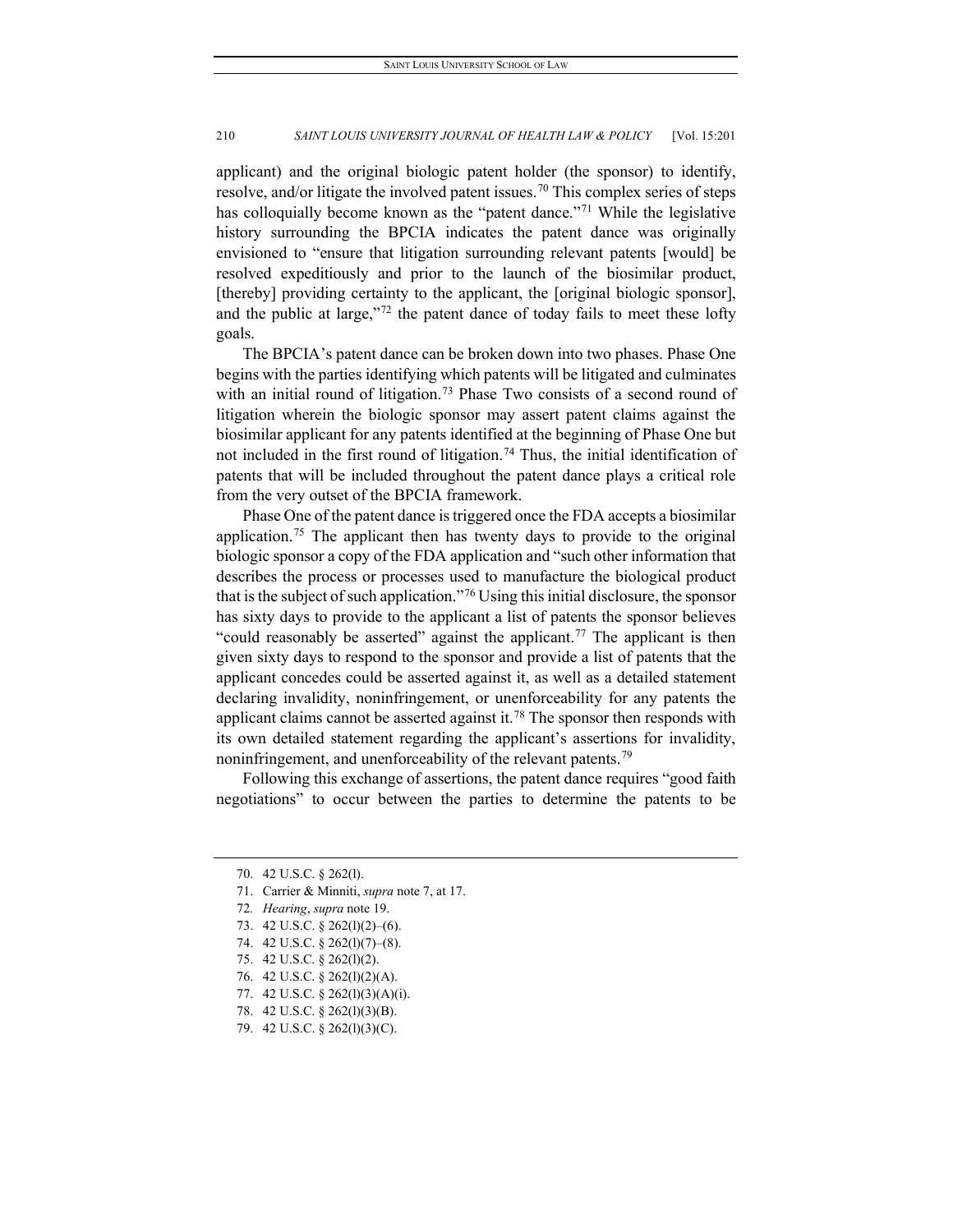applicant) and the original biologic patent holder (the sponsor) to identify, resolve, and/or litigate the involved patent issues.<sup>[70](#page-10-0)</sup> This complex series of steps has colloquially become known as the "patent dance."<sup>[71](#page-10-1)</sup> While the legislative history surrounding the BPCIA indicates the patent dance was originally envisioned to "ensure that litigation surrounding relevant patents [would] be resolved expeditiously and prior to the launch of the biosimilar product, [thereby] providing certainty to the applicant, the [original biologic sponsor], and the public at large,"<sup>[72](#page-10-2)</sup> the patent dance of today fails to meet these lofty goals.

The BPCIA's patent dance can be broken down into two phases. Phase One begins with the parties identifying which patents will be litigated and culminates with an initial round of litigation.<sup>[73](#page-10-3)</sup> Phase Two consists of a second round of litigation wherein the biologic sponsor may assert patent claims against the biosimilar applicant for any patents identified at the beginning of Phase One but not included in the first round of litigation.<sup>[74](#page-10-4)</sup> Thus, the initial identification of patents that will be included throughout the patent dance plays a critical role from the very outset of the BPCIA framework.

Phase One of the patent dance is triggered once the FDA accepts a biosimilar application.<sup>[75](#page-10-5)</sup> The applicant then has twenty days to provide to the original biologic sponsor a copy of the FDA application and "such other information that describes the process or processes used to manufacture the biological product that is the subject of such application."[76](#page-10-6) Using this initial disclosure, the sponsor has sixty days to provide to the applicant a list of patents the sponsor believes "could reasonably be asserted" against the applicant.<sup>[77](#page-10-7)</sup> The applicant is then given sixty days to respond to the sponsor and provide a list of patents that the applicant concedes could be asserted against it, as well as a detailed statement declaring invalidity, noninfringement, or unenforceability for any patents the applicant claims cannot be asserted against it.<sup>[78](#page-10-8)</sup> The sponsor then responds with its own detailed statement regarding the applicant's assertions for invalidity, noninfringement, and unenforceability of the relevant patents.<sup>79</sup>

Following this exchange of assertions, the patent dance requires "good faith negotiations" to occur between the parties to determine the patents to be

<span id="page-10-7"></span>77. 42 U.S.C. § 262(l)(3)(A)(i).

<span id="page-10-0"></span><sup>70.</sup> 42 U.S.C. § 262(l).

<span id="page-10-1"></span><sup>71.</sup> Carrier & Minniti, *supra* note 7, at 17.

<span id="page-10-2"></span><sup>72</sup>*. Hearing*, *supra* note 19.

<span id="page-10-3"></span><sup>73.</sup> 42 U.S.C. § 262(l)(2)–(6).

<span id="page-10-4"></span><sup>74.</sup> 42 U.S.C. § 262(l)(7)–(8).

<span id="page-10-5"></span><sup>75.</sup> 42 U.S.C. § 262(l)(2).

<span id="page-10-6"></span><sup>76.</sup> 42 U.S.C. § 262(l)(2)(A).

<span id="page-10-8"></span><sup>78.</sup> 42 U.S.C. § 262(l)(3)(B).

<span id="page-10-9"></span><sup>79.</sup> 42 U.S.C. § 262(l)(3)(C).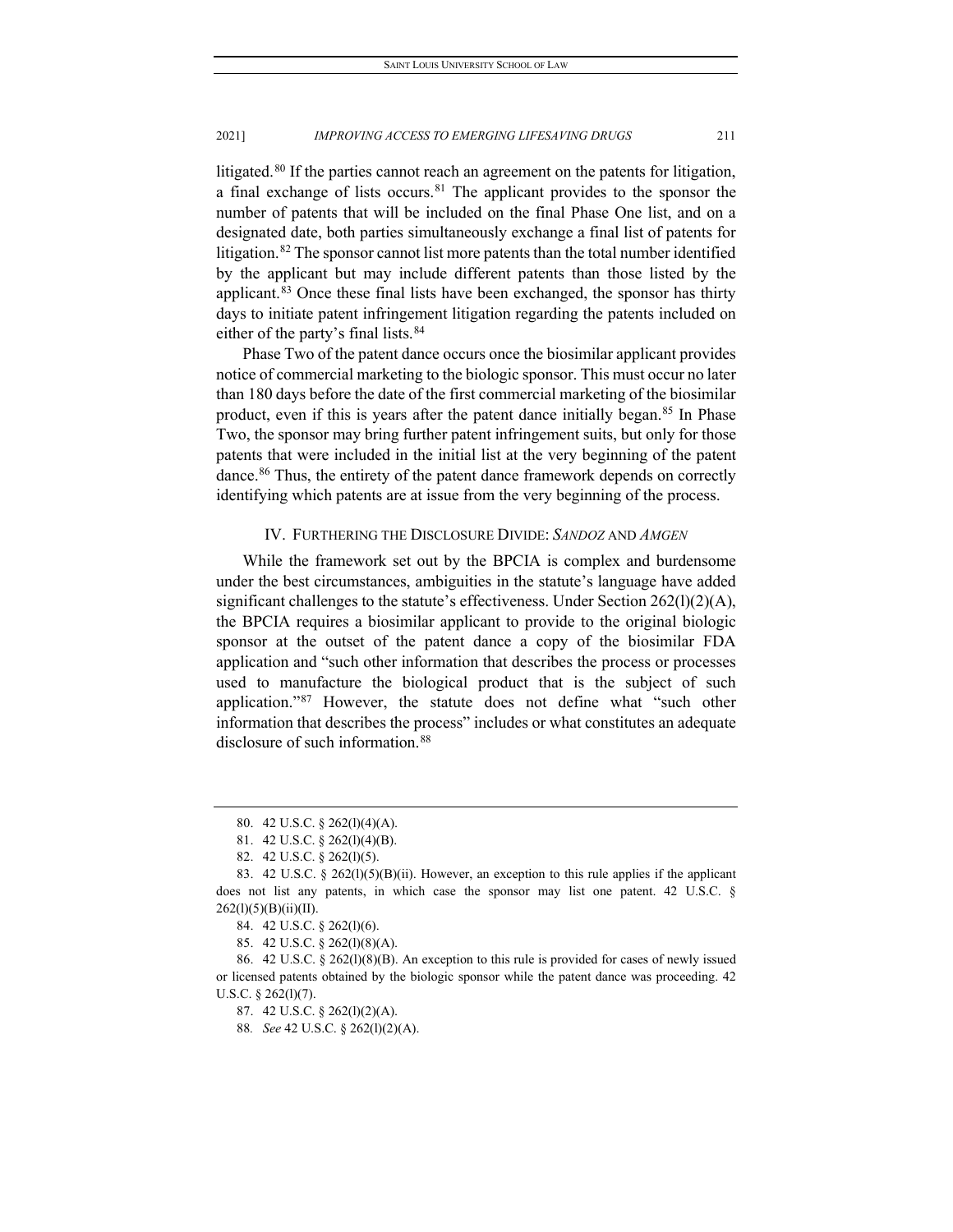litigated.<sup>[80](#page-11-0)</sup> If the parties cannot reach an agreement on the patents for litigation, a final exchange of lists occurs.<sup>81</sup> The applicant provides to the sponsor the number of patents that will be included on the final Phase One list, and on a designated date, both parties simultaneously exchange a final list of patents for litigation.<sup>[82](#page-11-2)</sup> The sponsor cannot list more patents than the total number identified by the applicant but may include different patents than those listed by the applicant.<sup>[83](#page-11-3)</sup> Once these final lists have been exchanged, the sponsor has thirty days to initiate patent infringement litigation regarding the patents included on either of the party's final lists.<sup>[84](#page-11-4)</sup>

Phase Two of the patent dance occurs once the biosimilar applicant provides notice of commercial marketing to the biologic sponsor. This must occur no later than 180 days before the date of the first commercial marketing of the biosimilar product, even if this is years after the patent dance initially began.<sup>[85](#page-11-5)</sup> In Phase Two, the sponsor may bring further patent infringement suits, but only for those patents that were included in the initial list at the very beginning of the patent dance.[86](#page-11-6) Thus, the entirety of the patent dance framework depends on correctly identifying which patents are at issue from the very beginning of the process.

#### IV. FURTHERING THE DISCLOSURE DIVIDE: *SANDOZ* AND *AMGEN*

While the framework set out by the BPCIA is complex and burdensome under the best circumstances, ambiguities in the statute's language have added significant challenges to the statute's effectiveness. Under Section 262(l)(2)(A), the BPCIA requires a biosimilar applicant to provide to the original biologic sponsor at the outset of the patent dance a copy of the biosimilar FDA application and "such other information that describes the process or processes used to manufacture the biological product that is the subject of such application."[87](#page-11-7) However, the statute does not define what "such other information that describes the process" includes or what constitutes an adequate disclosure of such information.<sup>[88](#page-11-8)</sup>

<sup>80.</sup> 42 U.S.C. § 262(l)(4)(A).

<sup>81.</sup> 42 U.S.C. § 262(l)(4)(B).

<sup>82.</sup> 42 U.S.C. § 262(l)(5).

<span id="page-11-3"></span><span id="page-11-2"></span><span id="page-11-1"></span><span id="page-11-0"></span><sup>83.</sup> 42 U.S.C. § 262(l)(5)(B)(ii). However, an exception to this rule applies if the applicant does not list any patents, in which case the sponsor may list one patent. 42 U.S.C. § 262(l)(5)(B)(ii)(II).

<sup>84.</sup> 42 U.S.C. § 262(l)(6).

<sup>85.</sup> 42 U.S.C. § 262(l)(8)(A).

<span id="page-11-8"></span><span id="page-11-7"></span><span id="page-11-6"></span><span id="page-11-5"></span><span id="page-11-4"></span><sup>86.</sup> 42 U.S.C. § 262(l)(8)(B). An exception to this rule is provided for cases of newly issued or licensed patents obtained by the biologic sponsor while the patent dance was proceeding. 42 U.S.C. § 262(l)(7).

<sup>87.</sup> 42 U.S.C. § 262(l)(2)(A).

<sup>88</sup>*. See* 42 U.S.C. § 262(l)(2)(A).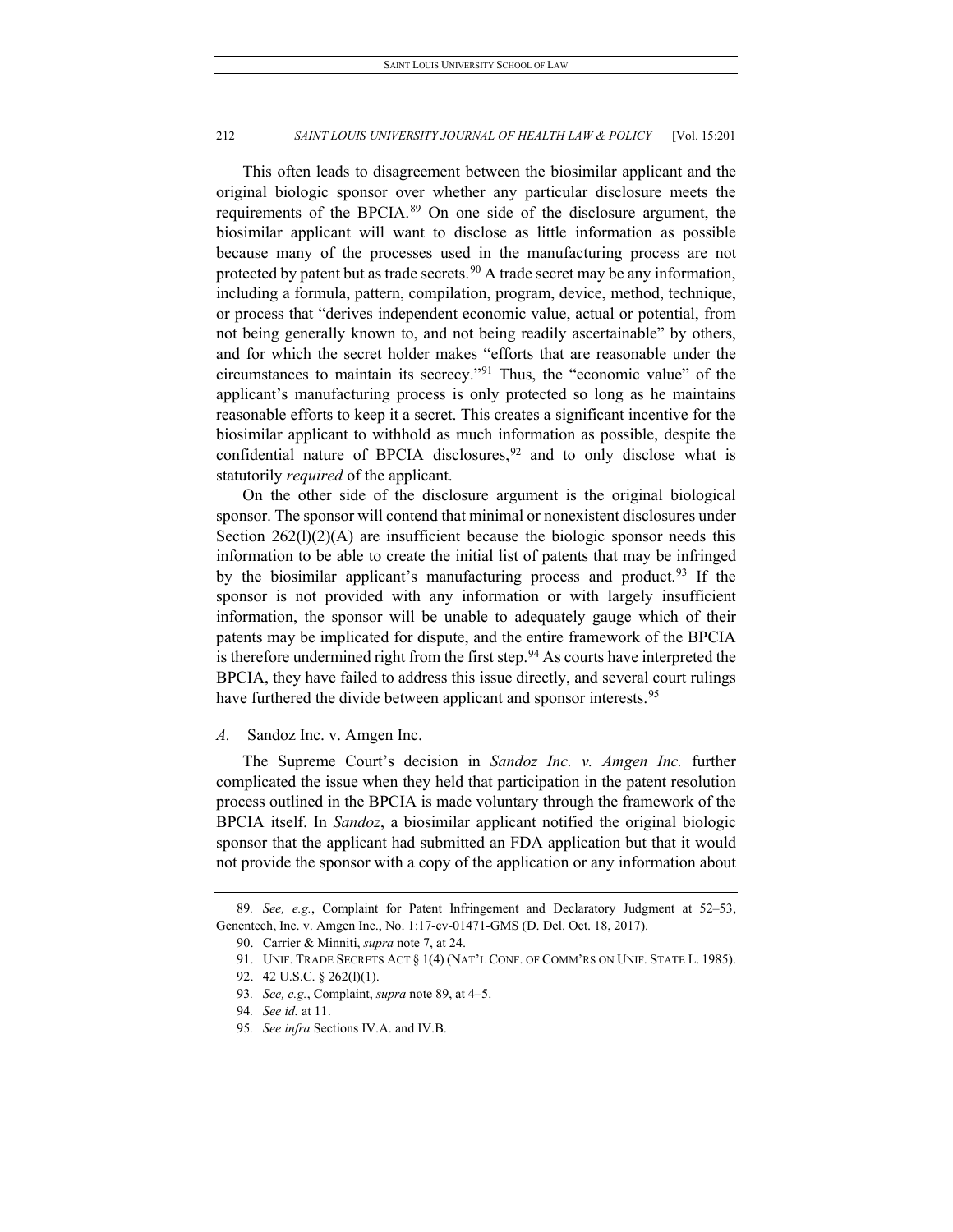This often leads to disagreement between the biosimilar applicant and the original biologic sponsor over whether any particular disclosure meets the requirements of the BPCIA.[89](#page-12-0) On one side of the disclosure argument, the biosimilar applicant will want to disclose as little information as possible because many of the processes used in the manufacturing process are not protected by patent but as trade secrets.<sup>[90](#page-12-1)</sup> A trade secret may be any information, including a formula, pattern, compilation, program, device, method, technique, or process that "derives independent economic value, actual or potential, from not being generally known to, and not being readily ascertainable" by others, and for which the secret holder makes "efforts that are reasonable under the circumstances to maintain its secrecy."[91](#page-12-2) Thus, the "economic value" of the applicant's manufacturing process is only protected so long as he maintains reasonable efforts to keep it a secret. This creates a significant incentive for the biosimilar applicant to withhold as much information as possible, despite the confidential nature of BPCIA disclosures,  $92$  and to only disclose what is statutorily *required* of the applicant.

On the other side of the disclosure argument is the original biological sponsor. The sponsor will contend that minimal or nonexistent disclosures under Section  $262(1)(2)(A)$  are insufficient because the biologic sponsor needs this information to be able to create the initial list of patents that may be infringed by the biosimilar applicant's manufacturing process and product.<sup>[93](#page-12-4)</sup> If the sponsor is not provided with any information or with largely insufficient information, the sponsor will be unable to adequately gauge which of their patents may be implicated for dispute, and the entire framework of the BPCIA is therefore undermined right from the first step.<sup>[94](#page-12-5)</sup> As courts have interpreted the BPCIA, they have failed to address this issue directly, and several court rulings have furthered the divide between applicant and sponsor interests.<sup>[95](#page-12-6)</sup>

#### *A.* Sandoz Inc. v. Amgen Inc.

The Supreme Court's decision in *Sandoz Inc. v. Amgen Inc.* further complicated the issue when they held that participation in the patent resolution process outlined in the BPCIA is made voluntary through the framework of the BPCIA itself. In *Sandoz*, a biosimilar applicant notified the original biologic sponsor that the applicant had submitted an FDA application but that it would not provide the sponsor with a copy of the application or any information about

<span id="page-12-4"></span><span id="page-12-3"></span><span id="page-12-2"></span><span id="page-12-1"></span><span id="page-12-0"></span><sup>89</sup>*. See, e.g.*, Complaint for Patent Infringement and Declaratory Judgment at 52–53, Genentech, Inc. v. Amgen Inc., No. 1:17-cv-01471-GMS (D. Del. Oct. 18, 2017).

<sup>90.</sup> Carrier & Minniti, *supra* note 7, at 24.

<sup>91.</sup> UNIF. TRADE SECRETS ACT § 1(4) (NAT'L CONF. OF COMM'RS ON UNIF. STATE L. 1985).

<sup>92.</sup> 42 U.S.C. § 262(l)(1).

<sup>93</sup>*. See, e.g.*, Complaint, *supra* note 89, at 4–5.

<span id="page-12-5"></span><sup>94</sup>*. See id.* at 11.

<span id="page-12-6"></span><sup>95</sup>*. See infra* Sections IV.A. and IV.B.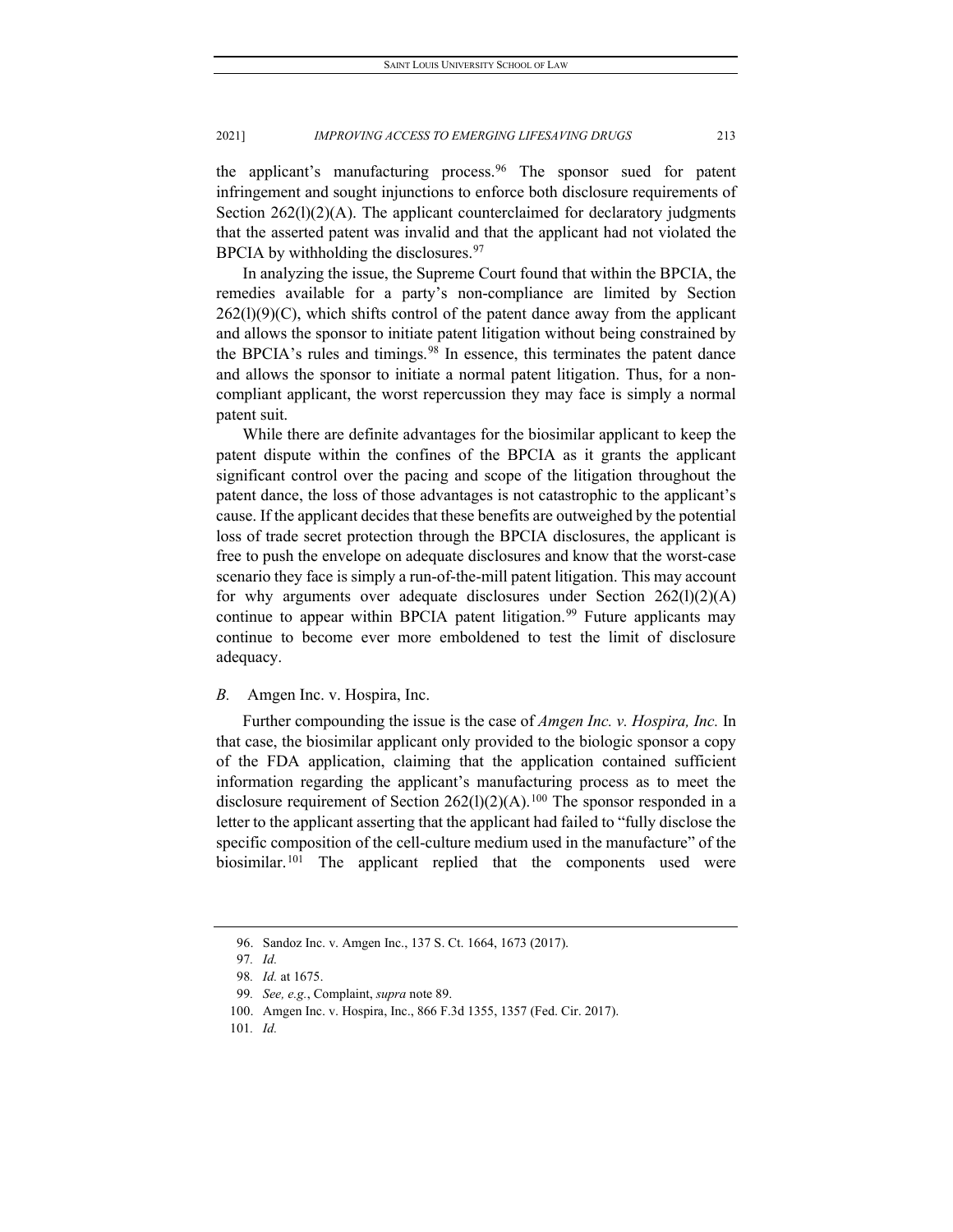the applicant's manufacturing process.<sup>96</sup> The sponsor sued for patent infringement and sought injunctions to enforce both disclosure requirements of Section 262(1)(2)(A). The applicant counterclaimed for declaratory judgments that the asserted patent was invalid and that the applicant had not violated the BPCIA by withholding the disclosures. $97$ 

In analyzing the issue, the Supreme Court found that within the BPCIA, the remedies available for a party's non-compliance are limited by Section  $262(1)(9)(C)$ , which shifts control of the patent dance away from the applicant and allows the sponsor to initiate patent litigation without being constrained by the BPCIA's rules and timings.<sup>[98](#page-13-2)</sup> In essence, this terminates the patent dance and allows the sponsor to initiate a normal patent litigation. Thus, for a noncompliant applicant, the worst repercussion they may face is simply a normal patent suit.

While there are definite advantages for the biosimilar applicant to keep the patent dispute within the confines of the BPCIA as it grants the applicant significant control over the pacing and scope of the litigation throughout the patent dance, the loss of those advantages is not catastrophic to the applicant's cause. If the applicant decides that these benefits are outweighed by the potential loss of trade secret protection through the BPCIA disclosures, the applicant is free to push the envelope on adequate disclosures and know that the worst-case scenario they face is simply a run-of-the-mill patent litigation. This may account for why arguments over adequate disclosures under Section  $262(1)(2)(A)$ continue to appear within BPCIA patent litigation.<sup>[99](#page-13-3)</sup> Future applicants may continue to become ever more emboldened to test the limit of disclosure adequacy.

#### *B.* Amgen Inc. v. Hospira, Inc.

Further compounding the issue is the case of *Amgen Inc. v. Hospira, Inc.* In that case, the biosimilar applicant only provided to the biologic sponsor a copy of the FDA application, claiming that the application contained sufficient information regarding the applicant's manufacturing process as to meet the disclosure requirement of Section  $262(1)(2)(A)$ .<sup>[100](#page-13-4)</sup> The sponsor responded in a letter to the applicant asserting that the applicant had failed to "fully disclose the specific composition of the cell-culture medium used in the manufacture" of the biosimilar.<sup>[101](#page-13-5)</sup> The applicant replied that the components used were

<span id="page-13-1"></span><span id="page-13-0"></span><sup>96.</sup> Sandoz Inc. v. Amgen Inc., 137 S. Ct. 1664, 1673 (2017).

<sup>97</sup>*. Id.*

<sup>98</sup>*. Id.* at 1675.

<span id="page-13-2"></span><sup>99</sup>*. See, e.g.*, Complaint, *supra* note 89.

<span id="page-13-4"></span><span id="page-13-3"></span><sup>100.</sup> Amgen Inc. v. Hospira, Inc., 866 F.3d 1355, 1357 (Fed. Cir. 2017).

<span id="page-13-5"></span><sup>101</sup>*. Id.*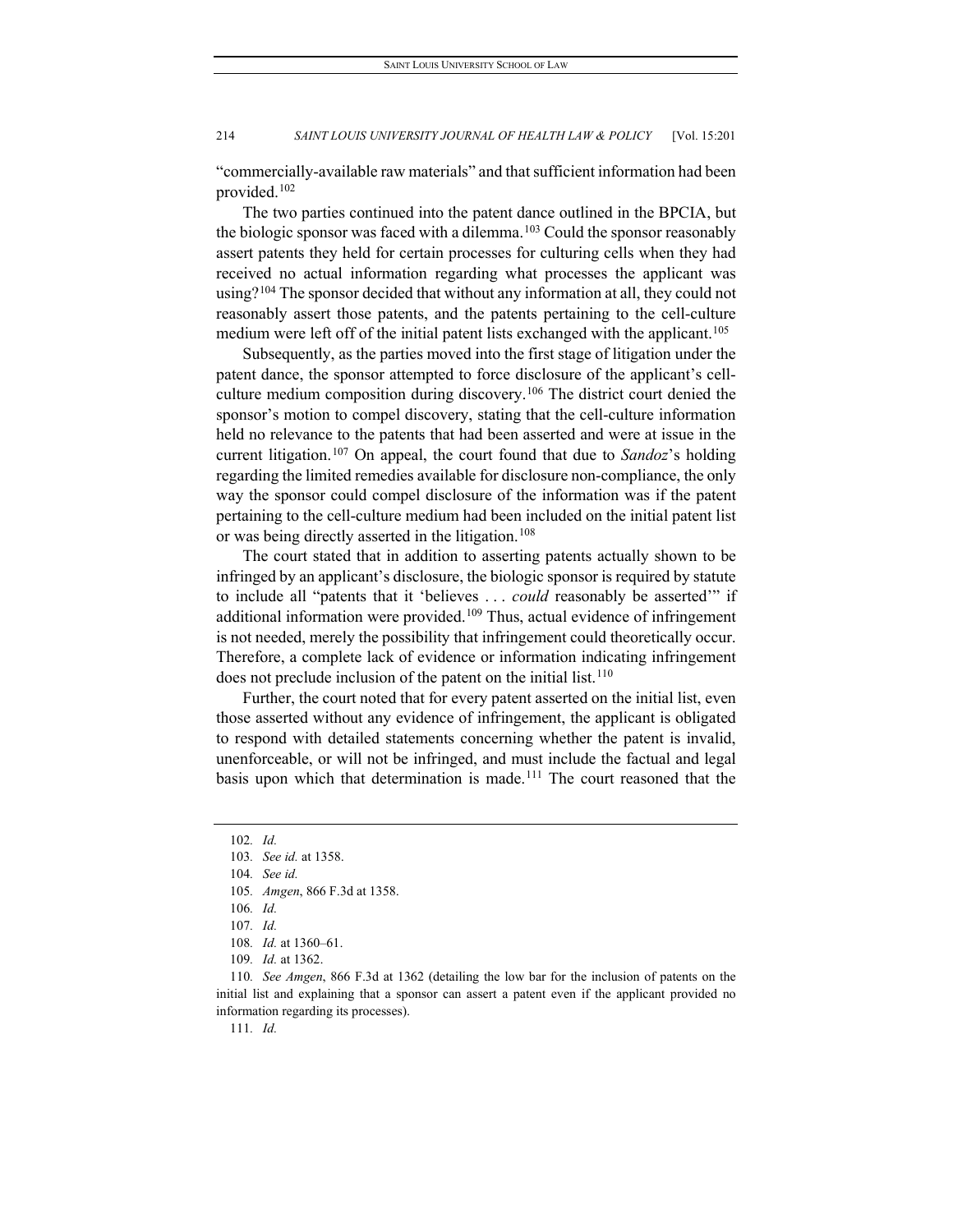"commercially-available raw materials" and that sufficient information had been provided[.102](#page-14-0)

The two parties continued into the patent dance outlined in the BPCIA, but the biologic sponsor was faced with a dilemma.<sup>[103](#page-14-1)</sup> Could the sponsor reasonably assert patents they held for certain processes for culturing cells when they had received no actual information regarding what processes the applicant was using?<sup>[104](#page-14-2)</sup> The sponsor decided that without any information at all, they could not reasonably assert those patents, and the patents pertaining to the cell-culture medium were left off of the initial patent lists exchanged with the applicant.<sup>[105](#page-14-3)</sup>

Subsequently, as the parties moved into the first stage of litigation under the patent dance, the sponsor attempted to force disclosure of the applicant's cellculture medium composition during discovery.[106](#page-14-4) The district court denied the sponsor's motion to compel discovery, stating that the cell-culture information held no relevance to the patents that had been asserted and were at issue in the current litigation.[107](#page-14-5) On appeal, the court found that due to *Sandoz*'s holding regarding the limited remedies available for disclosure non-compliance, the only way the sponsor could compel disclosure of the information was if the patent pertaining to the cell-culture medium had been included on the initial patent list or was being directly asserted in the litigation.<sup>[108](#page-14-6)</sup>

The court stated that in addition to asserting patents actually shown to be infringed by an applicant's disclosure, the biologic sponsor is required by statute to include all "patents that it 'believes . . . *could* reasonably be asserted'" if additional information were provided.<sup>[109](#page-14-7)</sup> Thus, actual evidence of infringement is not needed, merely the possibility that infringement could theoretically occur. Therefore, a complete lack of evidence or information indicating infringement does not preclude inclusion of the patent on the initial list.<sup>[110](#page-14-8)</sup>

Further, the court noted that for every patent asserted on the initial list, even those asserted without any evidence of infringement, the applicant is obligated to respond with detailed statements concerning whether the patent is invalid, unenforceable, or will not be infringed, and must include the factual and legal basis upon which that determination is made.<sup>[111](#page-14-9)</sup> The court reasoned that the

111*. Id.*

<span id="page-14-0"></span><sup>102</sup>*. Id.*

<span id="page-14-1"></span><sup>103</sup>*. See id.* at 1358.

<span id="page-14-2"></span><sup>104</sup>*. See id.*

<sup>105</sup>*. Amgen*, 866 F.3d at 1358.

<span id="page-14-3"></span><sup>106</sup>*. Id.*

<sup>107</sup>*. Id.*

<sup>108</sup>*. Id.* at 1360–61.

<sup>109</sup>*. Id.* at 1362.

<span id="page-14-9"></span><span id="page-14-8"></span><span id="page-14-7"></span><span id="page-14-6"></span><span id="page-14-5"></span><span id="page-14-4"></span><sup>110</sup>*. See Amgen*, 866 F.3d at 1362 (detailing the low bar for the inclusion of patents on the initial list and explaining that a sponsor can assert a patent even if the applicant provided no information regarding its processes).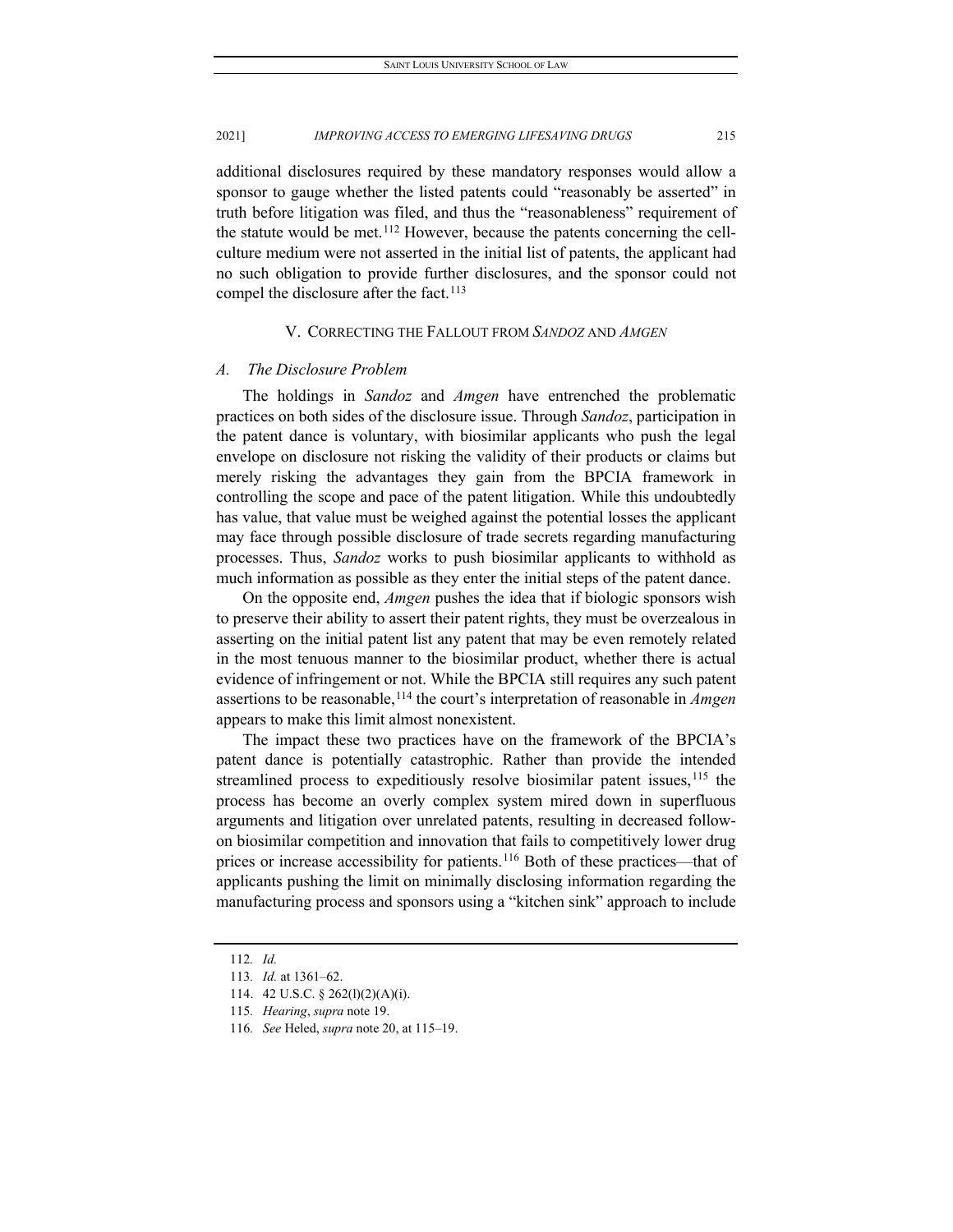additional disclosures required by these mandatory responses would allow a sponsor to gauge whether the listed patents could "reasonably be asserted" in truth before litigation was filed, and thus the "reasonableness" requirement of the statute would be met.[112](#page-15-0) However, because the patents concerning the cellculture medium were not asserted in the initial list of patents, the applicant had no such obligation to provide further disclosures, and the sponsor could not compel the disclosure after the fact.<sup>[113](#page-15-1)</sup>

#### V. CORRECTING THE FALLOUT FROM *SANDOZ* AND *AMGEN*

#### *A. The Disclosure Problem*

The holdings in *Sandoz* and *Amgen* have entrenched the problematic practices on both sides of the disclosure issue. Through *Sandoz*, participation in the patent dance is voluntary, with biosimilar applicants who push the legal envelope on disclosure not risking the validity of their products or claims but merely risking the advantages they gain from the BPCIA framework in controlling the scope and pace of the patent litigation. While this undoubtedly has value, that value must be weighed against the potential losses the applicant may face through possible disclosure of trade secrets regarding manufacturing processes. Thus, *Sandoz* works to push biosimilar applicants to withhold as much information as possible as they enter the initial steps of the patent dance.

On the opposite end, *Amgen* pushes the idea that if biologic sponsors wish to preserve their ability to assert their patent rights, they must be overzealous in asserting on the initial patent list any patent that may be even remotely related in the most tenuous manner to the biosimilar product, whether there is actual evidence of infringement or not. While the BPCIA still requires any such patent assertions to be reasonable[,114](#page-15-2) the court's interpretation of reasonable in *Amgen* appears to make this limit almost nonexistent.

The impact these two practices have on the framework of the BPCIA's patent dance is potentially catastrophic. Rather than provide the intended streamlined process to expeditiously resolve biosimilar patent issues,  $115$  the process has become an overly complex system mired down in superfluous arguments and litigation over unrelated patents, resulting in decreased followon biosimilar competition and innovation that fails to competitively lower drug prices or increase accessibility for patients.[116](#page-15-4) Both of these practices—that of applicants pushing the limit on minimally disclosing information regarding the manufacturing process and sponsors using a "kitchen sink" approach to include

<span id="page-15-0"></span><sup>112</sup>*. Id.*

<span id="page-15-1"></span><sup>113</sup>*. Id.* at 1361–62.

<span id="page-15-2"></span><sup>114.</sup> 42 U.S.C. § 262(l)(2)(A)(i).

<span id="page-15-3"></span><sup>115</sup>*. Hearing*, *supra* note 19.

<span id="page-15-4"></span><sup>116</sup>*. See* Heled, *supra* note 20, at 115–19.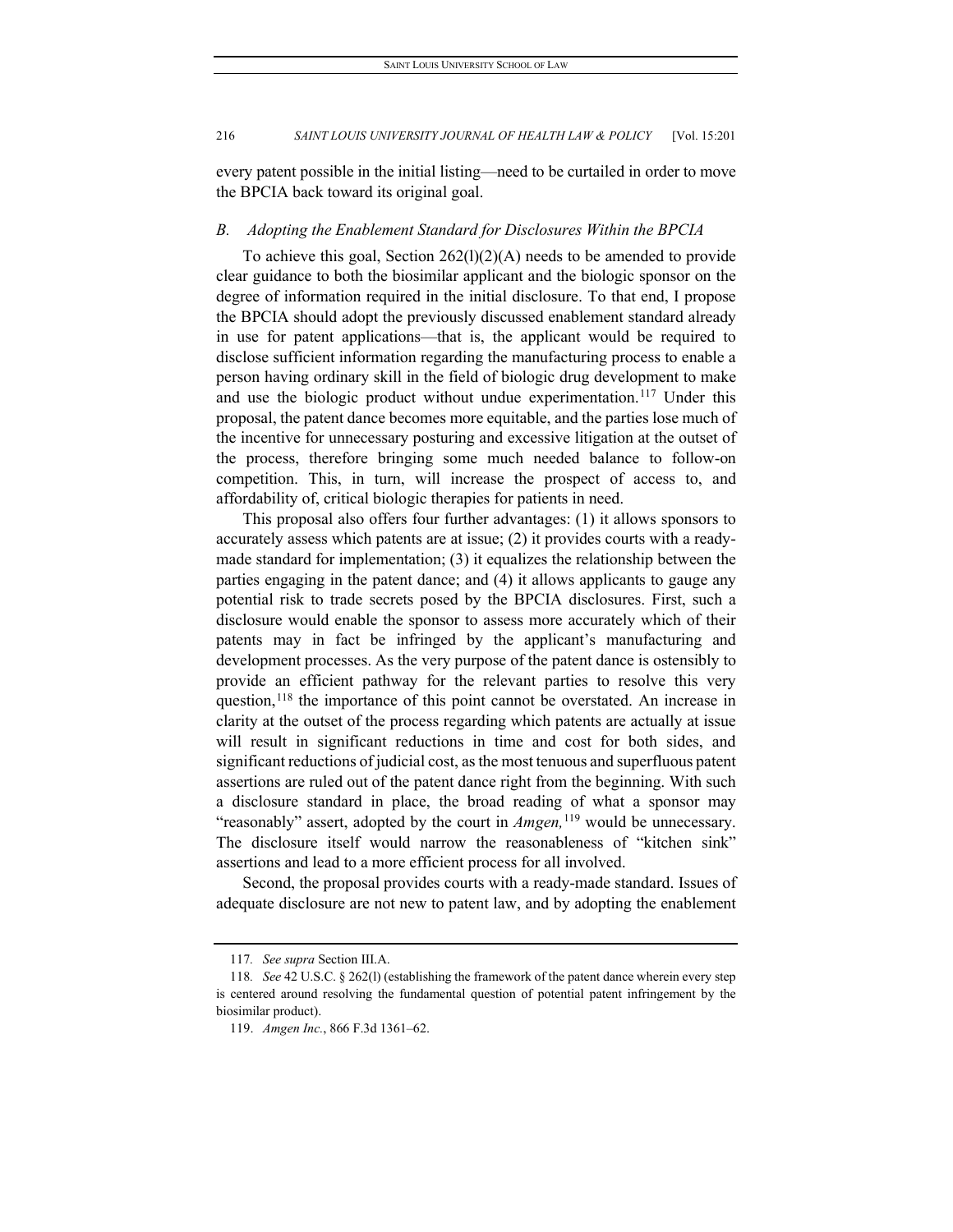every patent possible in the initial listing—need to be curtailed in order to move the BPCIA back toward its original goal.

#### *B. Adopting the Enablement Standard for Disclosures Within the BPCIA*

To achieve this goal, Section 262(l)(2)(A) needs to be amended to provide clear guidance to both the biosimilar applicant and the biologic sponsor on the degree of information required in the initial disclosure. To that end, I propose the BPCIA should adopt the previously discussed enablement standard already in use for patent applications—that is, the applicant would be required to disclose sufficient information regarding the manufacturing process to enable a person having ordinary skill in the field of biologic drug development to make and use the biologic product without undue experimentation.<sup>[117](#page-16-0)</sup> Under this proposal, the patent dance becomes more equitable, and the parties lose much of the incentive for unnecessary posturing and excessive litigation at the outset of the process, therefore bringing some much needed balance to follow-on competition. This, in turn, will increase the prospect of access to, and affordability of, critical biologic therapies for patients in need.

This proposal also offers four further advantages: (1) it allows sponsors to accurately assess which patents are at issue; (2) it provides courts with a readymade standard for implementation; (3) it equalizes the relationship between the parties engaging in the patent dance; and (4) it allows applicants to gauge any potential risk to trade secrets posed by the BPCIA disclosures. First, such a disclosure would enable the sponsor to assess more accurately which of their patents may in fact be infringed by the applicant's manufacturing and development processes. As the very purpose of the patent dance is ostensibly to provide an efficient pathway for the relevant parties to resolve this very question,<sup>[118](#page-16-1)</sup> the importance of this point cannot be overstated. An increase in clarity at the outset of the process regarding which patents are actually at issue will result in significant reductions in time and cost for both sides, and significant reductions of judicial cost, as the most tenuous and superfluous patent assertions are ruled out of the patent dance right from the beginning. With such a disclosure standard in place, the broad reading of what a sponsor may "reasonably" assert, adopted by the court in *Amgen,*[119](#page-16-2) would be unnecessary. The disclosure itself would narrow the reasonableness of "kitchen sink" assertions and lead to a more efficient process for all involved.

Second, the proposal provides courts with a ready-made standard. Issues of adequate disclosure are not new to patent law, and by adopting the enablement

<sup>117</sup>*. See supra* Section III.A.

<span id="page-16-2"></span><span id="page-16-1"></span><span id="page-16-0"></span><sup>118</sup>*. See* 42 U.S.C. § 262(l) (establishing the framework of the patent dance wherein every step is centered around resolving the fundamental question of potential patent infringement by the biosimilar product).

<sup>119.</sup> *Amgen Inc.*, 866 F.3d 1361–62.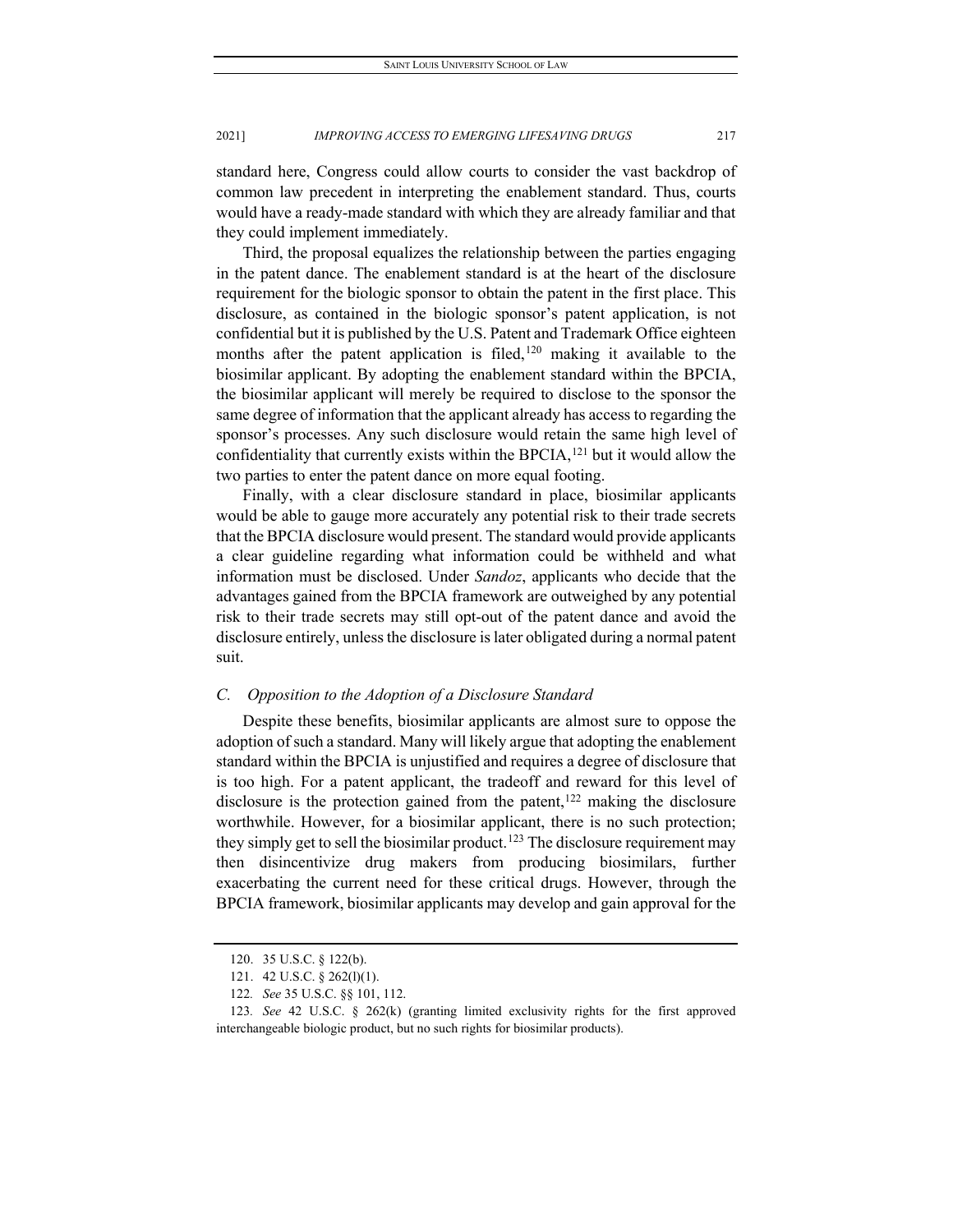standard here, Congress could allow courts to consider the vast backdrop of common law precedent in interpreting the enablement standard. Thus, courts would have a ready-made standard with which they are already familiar and that they could implement immediately.

Third, the proposal equalizes the relationship between the parties engaging in the patent dance. The enablement standard is at the heart of the disclosure requirement for the biologic sponsor to obtain the patent in the first place. This disclosure, as contained in the biologic sponsor's patent application, is not confidential but it is published by the U.S. Patent and Trademark Office eighteen months after the patent application is filed,<sup>[120](#page-17-0)</sup> making it available to the biosimilar applicant. By adopting the enablement standard within the BPCIA, the biosimilar applicant will merely be required to disclose to the sponsor the same degree of information that the applicant already has access to regarding the sponsor's processes. Any such disclosure would retain the same high level of confidentiality that currently exists within the BPCIA,<sup>[121](#page-17-1)</sup> but it would allow the two parties to enter the patent dance on more equal footing.

Finally, with a clear disclosure standard in place, biosimilar applicants would be able to gauge more accurately any potential risk to their trade secrets that the BPCIA disclosure would present. The standard would provide applicants a clear guideline regarding what information could be withheld and what information must be disclosed. Under *Sandoz*, applicants who decide that the advantages gained from the BPCIA framework are outweighed by any potential risk to their trade secrets may still opt-out of the patent dance and avoid the disclosure entirely, unless the disclosure is later obligated during a normal patent suit.

#### *C. Opposition to the Adoption of a Disclosure Standard*

Despite these benefits, biosimilar applicants are almost sure to oppose the adoption of such a standard. Many will likely argue that adopting the enablement standard within the BPCIA is unjustified and requires a degree of disclosure that is too high. For a patent applicant, the tradeoff and reward for this level of disclosure is the protection gained from the patent,<sup>[122](#page-17-2)</sup> making the disclosure worthwhile. However, for a biosimilar applicant, there is no such protection; they simply get to sell the biosimilar product.<sup>[123](#page-17-3)</sup> The disclosure requirement may then disincentivize drug makers from producing biosimilars, further exacerbating the current need for these critical drugs. However, through the BPCIA framework, biosimilar applicants may develop and gain approval for the

<sup>120.</sup> 35 U.S.C. § 122(b).

<sup>121.</sup> 42 U.S.C. § 262(l)(1).

<sup>122</sup>*. See* 35 U.S.C. §§ 101, 112.

<span id="page-17-3"></span><span id="page-17-2"></span><span id="page-17-1"></span><span id="page-17-0"></span><sup>123</sup>*. See* 42 U.S.C. § 262(k) (granting limited exclusivity rights for the first approved interchangeable biologic product, but no such rights for biosimilar products).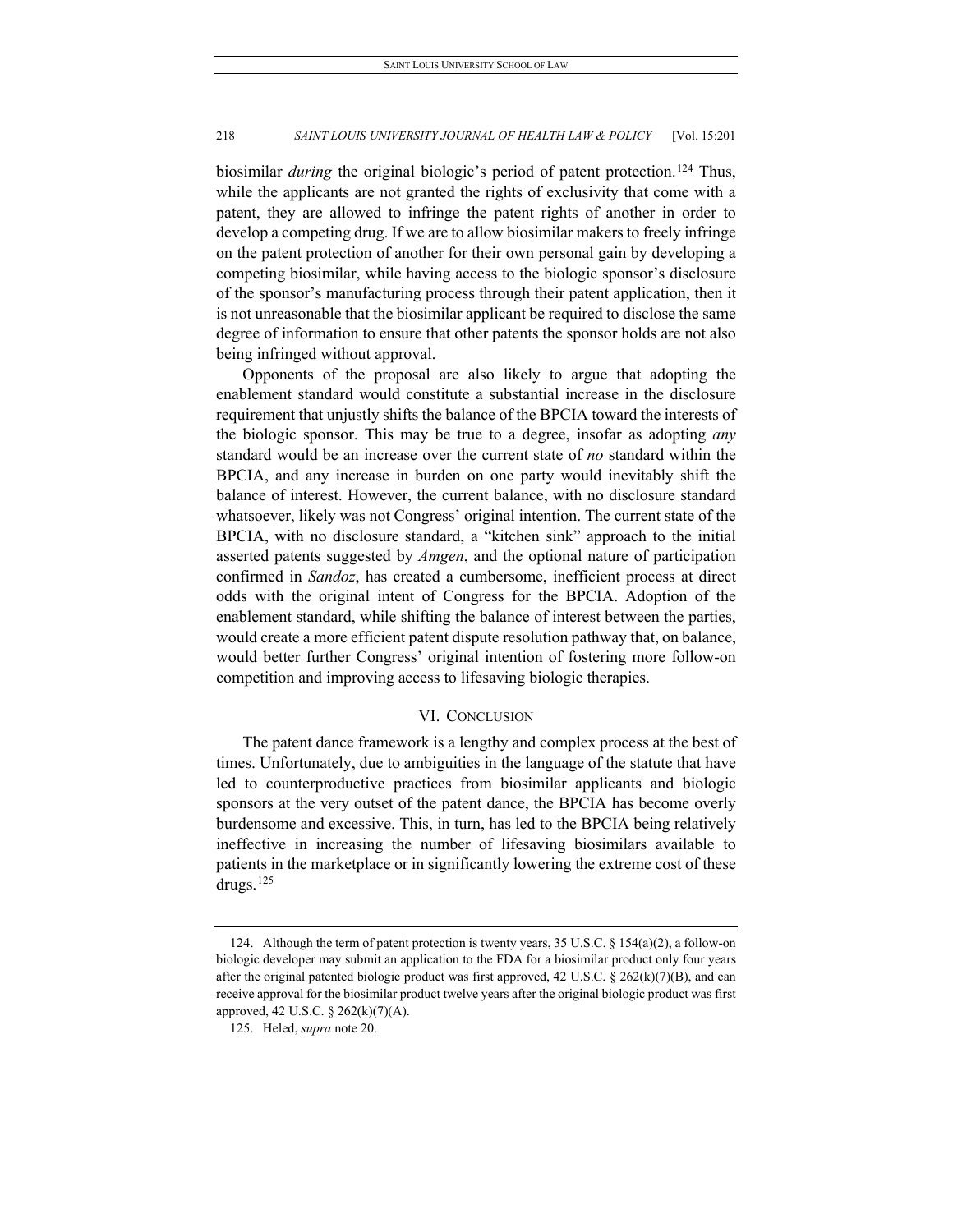biosimilar *during* the original biologic's period of patent protection.<sup>[124](#page-18-0)</sup> Thus, while the applicants are not granted the rights of exclusivity that come with a patent, they are allowed to infringe the patent rights of another in order to develop a competing drug. If we are to allow biosimilar makers to freely infringe on the patent protection of another for their own personal gain by developing a competing biosimilar, while having access to the biologic sponsor's disclosure of the sponsor's manufacturing process through their patent application, then it is not unreasonable that the biosimilar applicant be required to disclose the same degree of information to ensure that other patents the sponsor holds are not also being infringed without approval.

Opponents of the proposal are also likely to argue that adopting the enablement standard would constitute a substantial increase in the disclosure requirement that unjustly shifts the balance of the BPCIA toward the interests of the biologic sponsor. This may be true to a degree, insofar as adopting *any* standard would be an increase over the current state of *no* standard within the BPCIA, and any increase in burden on one party would inevitably shift the balance of interest. However, the current balance, with no disclosure standard whatsoever, likely was not Congress' original intention. The current state of the BPCIA, with no disclosure standard, a "kitchen sink" approach to the initial asserted patents suggested by *Amgen*, and the optional nature of participation confirmed in *Sandoz*, has created a cumbersome, inefficient process at direct odds with the original intent of Congress for the BPCIA. Adoption of the enablement standard, while shifting the balance of interest between the parties, would create a more efficient patent dispute resolution pathway that, on balance, would better further Congress' original intention of fostering more follow-on competition and improving access to lifesaving biologic therapies.

#### VI. CONCLUSION

The patent dance framework is a lengthy and complex process at the best of times. Unfortunately, due to ambiguities in the language of the statute that have led to counterproductive practices from biosimilar applicants and biologic sponsors at the very outset of the patent dance, the BPCIA has become overly burdensome and excessive. This, in turn, has led to the BPCIA being relatively ineffective in increasing the number of lifesaving biosimilars available to patients in the marketplace or in significantly lowering the extreme cost of these drugs.[125](#page-18-1)

<span id="page-18-0"></span><sup>124.</sup> Although the term of patent protection is twenty years, 35 U.S.C. § 154(a)(2), a follow-on biologic developer may submit an application to the FDA for a biosimilar product only four years after the original patented biologic product was first approved, 42 U.S.C. § 262(k)(7)(B), and can receive approval for the biosimilar product twelve years after the original biologic product was first approved, 42 U.S.C. § 262(k)(7)(A).

<span id="page-18-1"></span><sup>125.</sup> Heled, *supra* note 20.